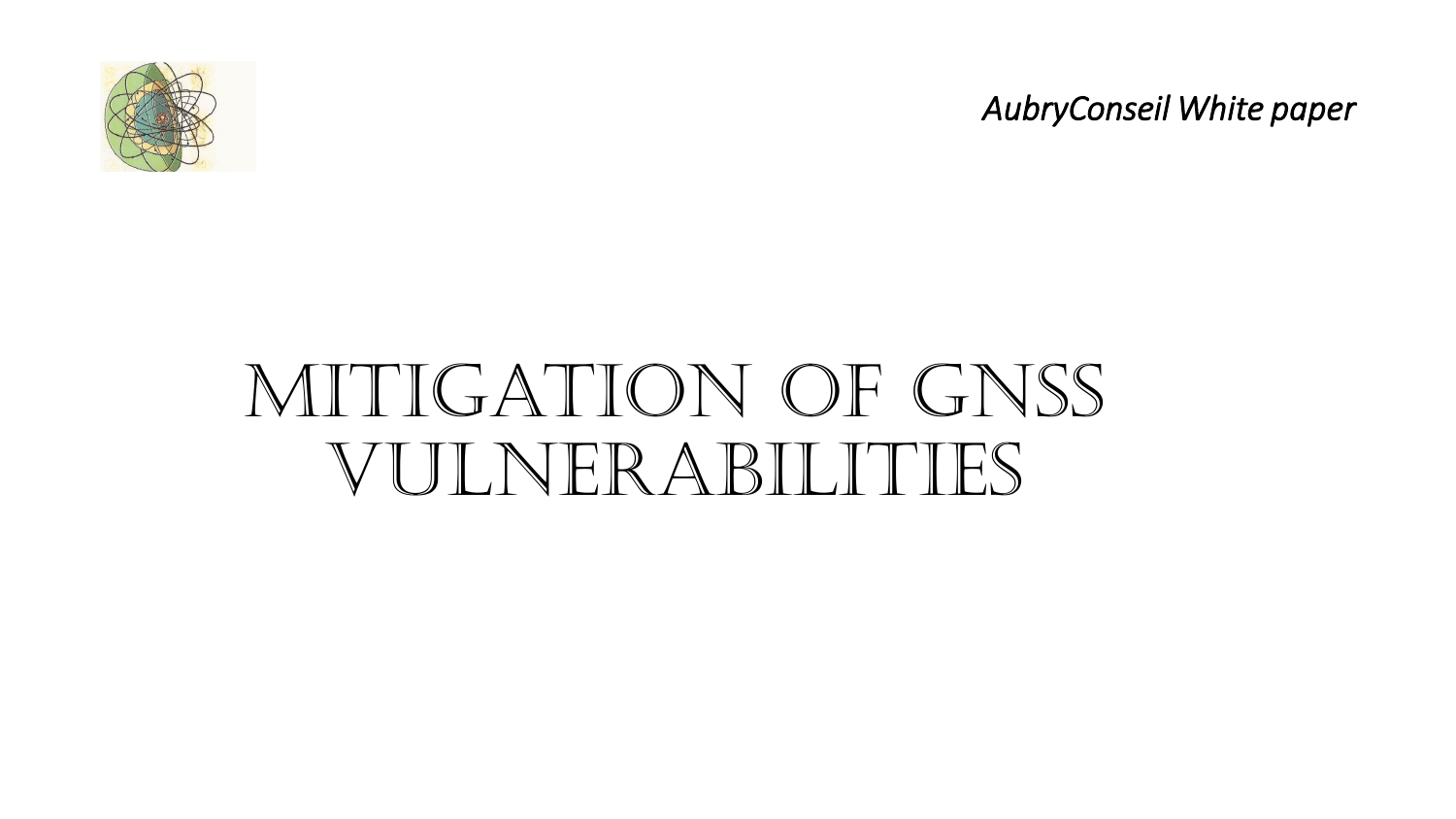

*AubryConseil White paper*

# MITIGATION OF GNSS vulnerabilities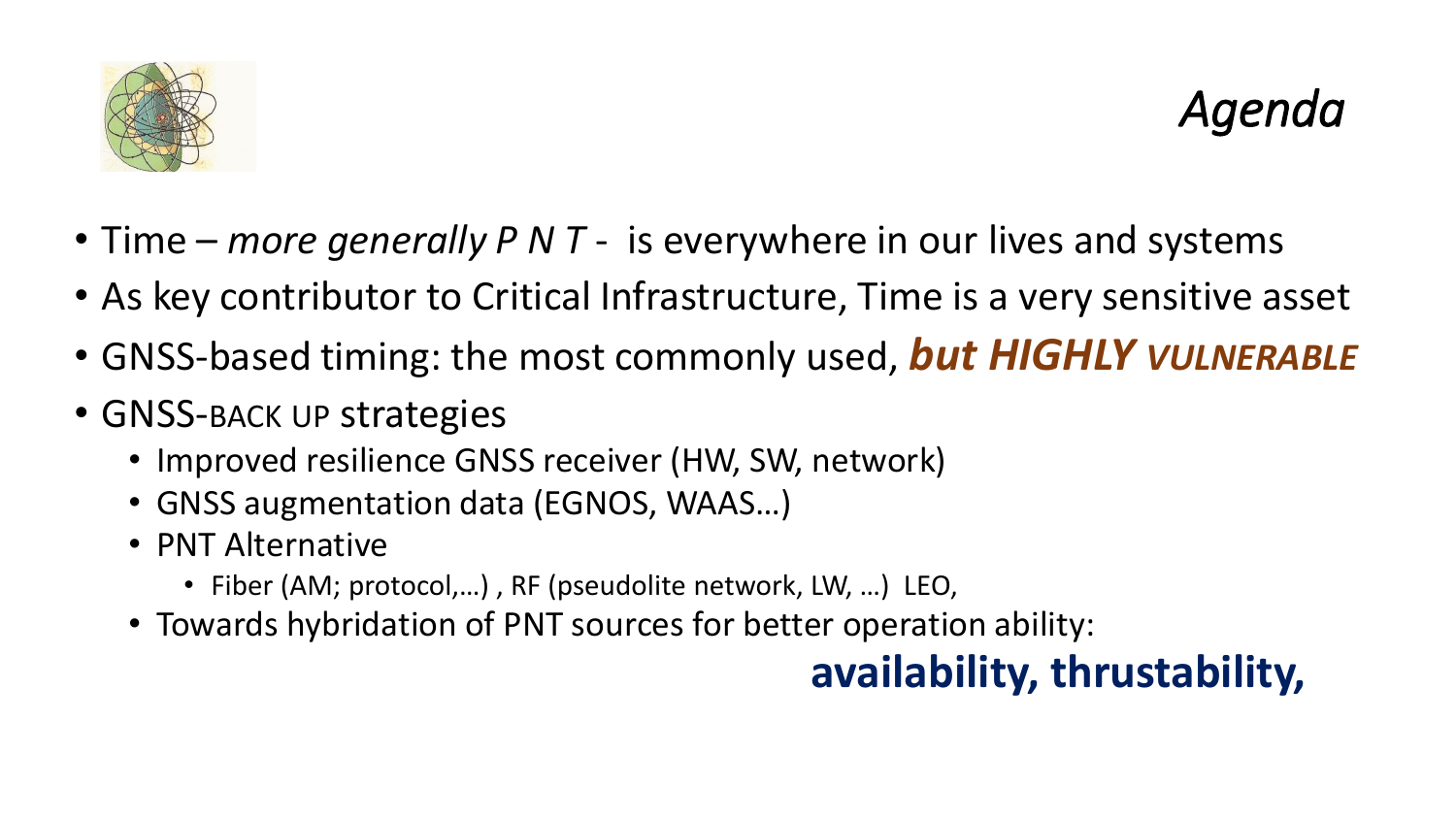

- Time *more generally P N T*  is everywhere in our lives and systems
- As key contributor to Critical Infrastructure, Time is a very sensitive asset
- GNSS-based timing: the most commonly used, *but HIGHLY VULNERABLE*
- GNSS-BACK UP strategies
	- Improved resilience GNSS receiver (HW, SW, network)
	- GNSS augmentation data (EGNOS, WAAS…)
	- PNT Alternative
		- Fiber (AM; protocol,…) , RF (pseudolite network, LW, …) LEO,
	- Towards hybridation of PNT sources for better operation ability:

### **availability, thrustability,**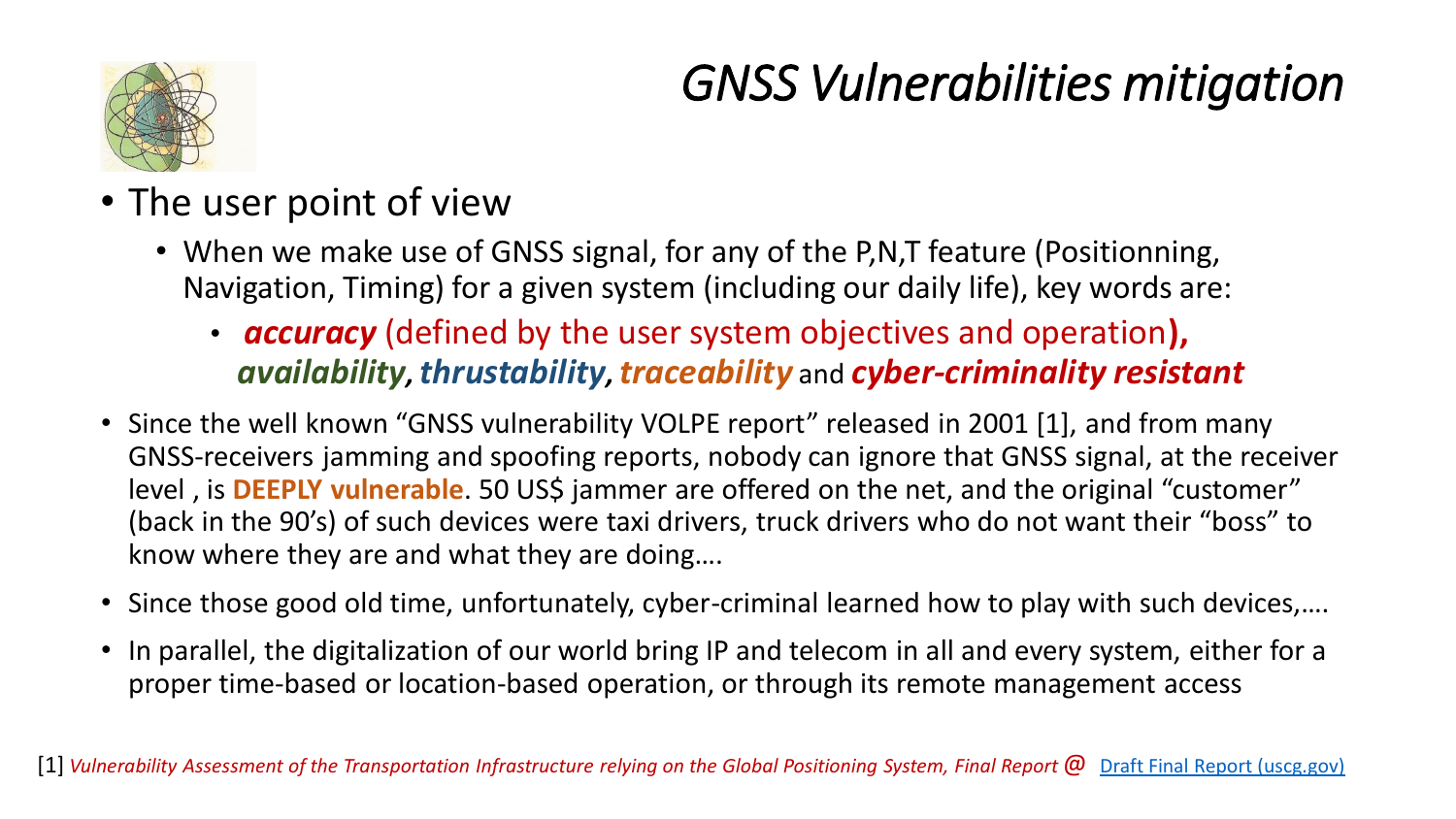### *GNSS Vulnerabilities mitigation*



- The user point of view
	- When we make use of GNSS signal, for any of the P,N,T feature (Positionning, Navigation, Timing) for a given system (including our daily life), key words are:
		- *accuracy* (defined by the user system objectives and operation**),**  *availability, thrustability, traceability* and *cyber-criminality resistant*
- Since the well known "GNSS vulnerability VOLPE report" released in 2001 [1], and from many GNSS-receivers jamming and spoofing reports, nobody can ignore that GNSS signal, at the receiver level, is **DEEPLY vulnerable**. 50 US\$ jammer are offered on the net, and the original "customer" (back in the 90's) of such devices were taxi drivers, truck drivers who do not want their "boss" to know where they are and what they are doing….
- Since those good old time, unfortunately, cyber-criminal learned how to play with such devices,….
- In parallel, the digitalization of our world bring IP and telecom in all and every system, either for a proper time-based or location-based operation, or through its remote management access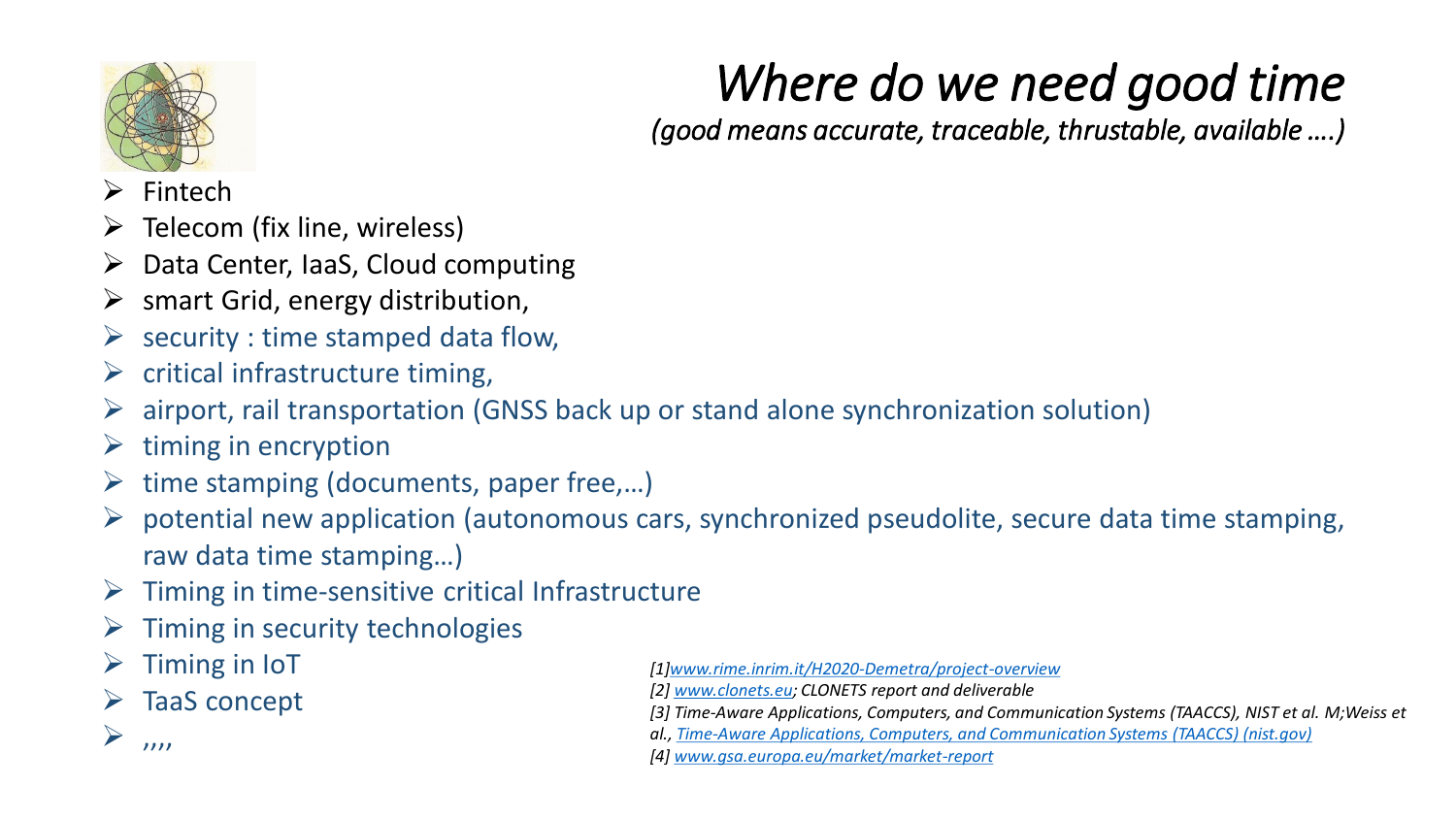

## *Where do we need good time*

*(good means accurate, traceable, thrustable, available ….)*

- ➢ Fintech
- $\triangleright$  Telecom (fix line, wireless)
- $\triangleright$  Data Center, IaaS, Cloud computing
- $\triangleright$  smart Grid, energy distribution,
- $\triangleright$  security : time stamped data flow,
- $\triangleright$  critical infrastructure timing,
- ➢ airport, rail transportation (GNSS back up or stand alone synchronization solution)
- $\triangleright$  timing in encryption
- $\triangleright$  time stamping (documents, paper free,...)
- $\triangleright$  potential new application (autonomous cars, synchronized pseudolite, secure data time stamping, raw data time stamping…)
- $\triangleright$  Timing in time-sensitive critical Infrastructure
- $\triangleright$  Timing in security technologies
- $\triangleright$  Timing in IoT
- ➢ TaaS concept

 $\sum_{n=1}^{\infty}$ 

- *[1[\]www.rime.inrim.it/H2020-Demetra/project-overview](http://www.rime.inrim.it/H2020-Demetra/project-overview)*
- *[2] [www.clonets.eu;](http://www.clonets.eu/) CLONETS report and deliverable*
- *[3] Time-Aware Applications, Computers, and Communication Systems (TAACCS), NIST et al. M;Weiss et*
- *al., [Time-Aware Applications, Computers, and Communication Systems \(TAACCS\) \(nist.gov\)](https://nvlpubs.nist.gov/nistpubs/TechnicalNotes/NIST.TN.1867.pdf)*
- *[4] [www.gsa.europa.eu/market/market-report](http://www.gsa.europa.eu/market/market-report)*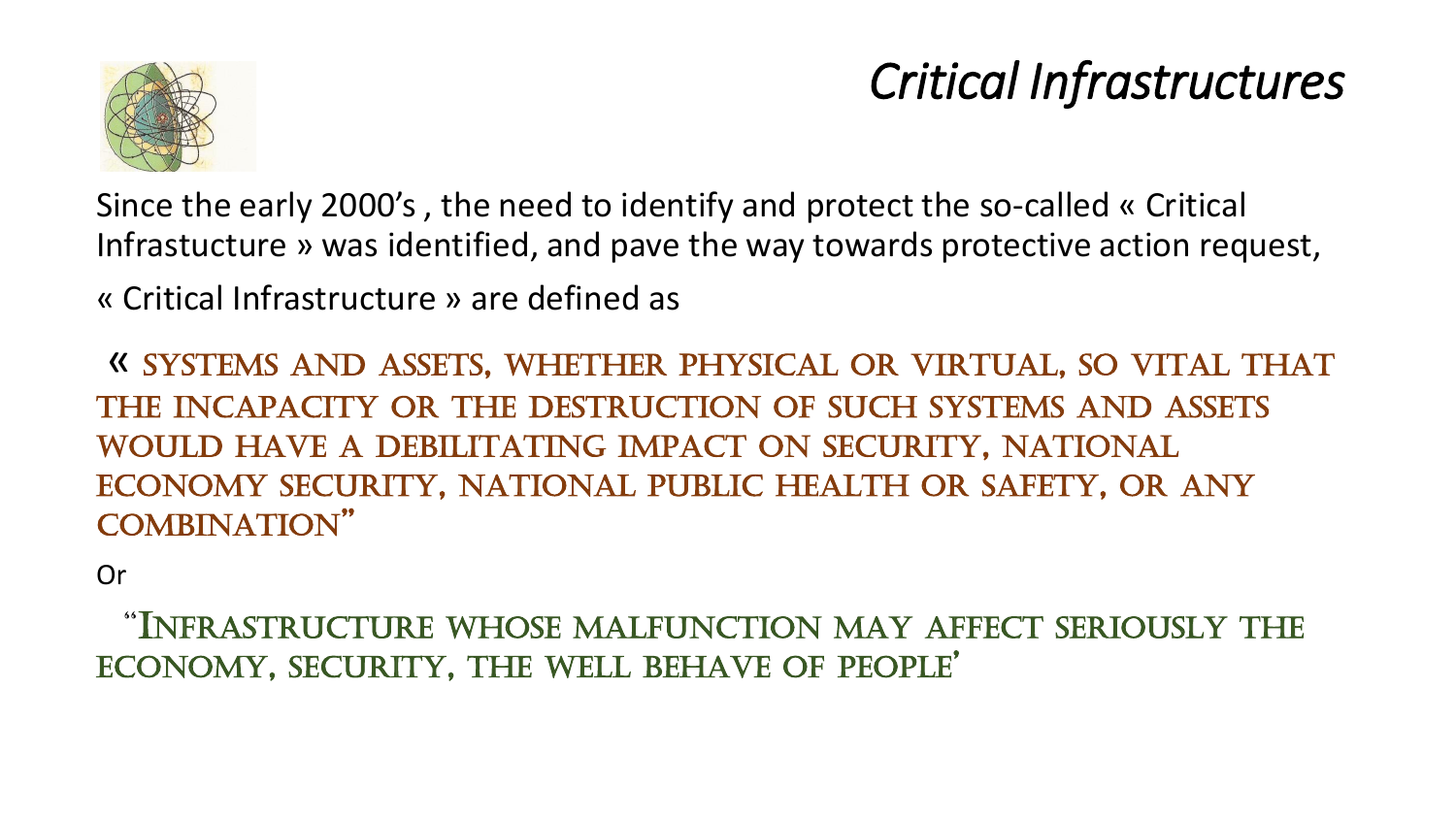

### *Critical Infrastructures*

Since the early 2000's , the need to identify and protect the so-called « Critical Infrastucture » was identified, and pave the way towards protective action request,

« Critical Infrastructure » are defined as

« SYSTEMS AND ASSETS, WHETHER PHYSICAL OR VIRTUAL, SO VITAL THAT THE INCAPACITY OR THE DESTRUCTION OF SUCH SYSTEMS AND ASSETS WOULD HAVE A DEBILITATING IMPACT ON SECURITY, NATIONAL ECONOMY SECURITY, NATIONAL PUBLIC HEALTH OR SAFETY, OR ANY COMBINATION"

Or

"INFRASTRUCTURE WHOSE MALFUNCTION MAY AFFECT SERIOUSLY THE ECONOMY, SECURITY, THE WELL BEHAVE OF PEOPLE'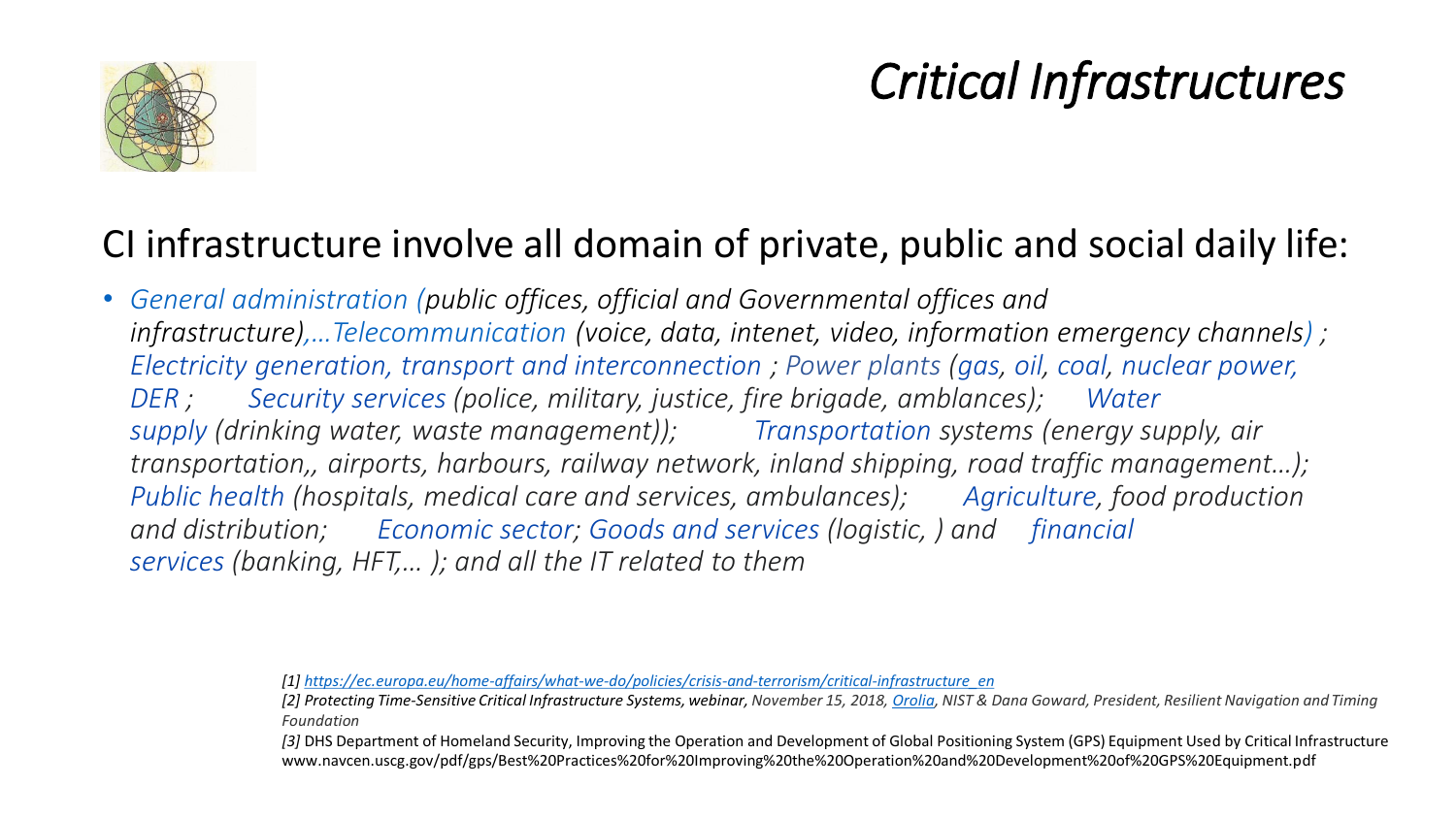

### *Critical Infrastructures*

### CI infrastructure involve all domain of private, public and social daily life:

• *General administration (public offices, official and Governmental offices and infrastructure),…Telecommunication (voice, data, intenet, video, information emergency channels) ; Electricity generation, transport and interconnection ; Power plants (gas, oil, coal, nuclear power, DER ; Security services (police, military, justice, fire brigade, amblances); Water supply (drinking water, waste management)); Transportation systems (energy supply, air transportation,, airports, harbours, railway network, inland shipping, road traffic management…); Public health (hospitals, medical care and services, ambulances); Agriculture, food production and distribution; Economic sector; Goods and services (logistic, ) and financial services (banking, HFT,… ); and all the IT related to them*

*<sup>[1]</sup> [https://ec.europa.eu/home-affairs/what-we-do/policies/crisis-and-terrorism/critical-infrastructure\\_en](https://ec.europa.eu/home-affairs/what-we-do/policies/crisis-and-terrorism/critical-infrastructure_en)*

*<sup>[2]</sup> Protecting Time-Sensitive Critical Infrastructure Systems, webinar, November 15, 2018, [Orolia](https://www.orolia.com/), NIST & Dana Goward, President, Resilient Navigation and Timing Foundation*

*<sup>[3]</sup>* DHS Department of Homeland Security, Improving the Operation and Development of Global Positioning System (GPS) Equipment Used by Critical Infrastructure www.navcen.uscg.gov/pdf/gps/Best%20Practices%20for%20Improving%20the%20Operation%20and%20Development%20of%20GPS%20Equipment.pdf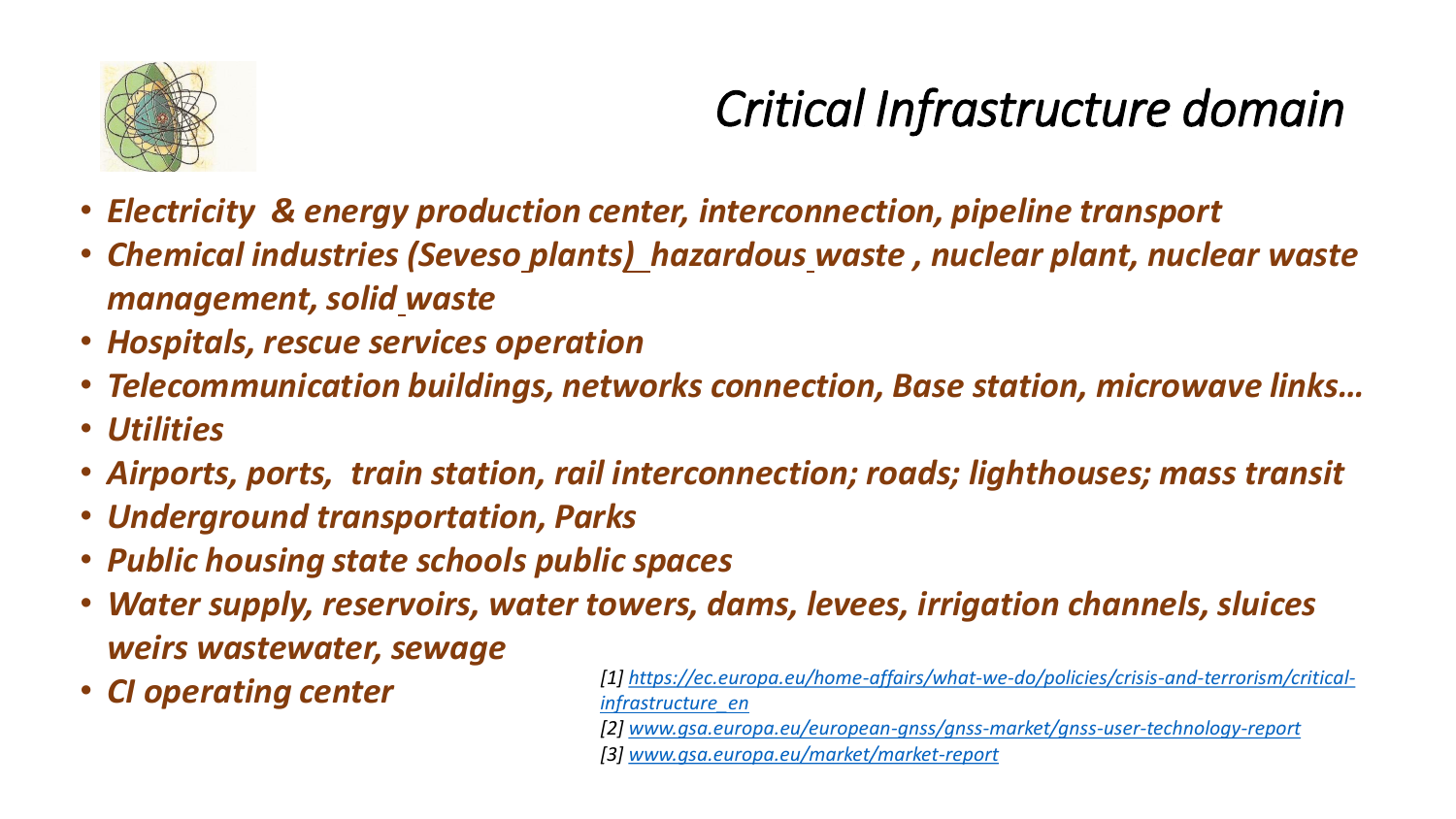

## *Critical Infrastructure domain*

- *Electricity & energy production center, interconnection, pipeline transport*
- *Chemical industries (Seveso plant[s\)](https://en.wikipedia.org/wiki/Hazardous_waste) hazardou[s](https://en.wikipedia.org/wiki/Hazardous_waste) waste , nuclear plant, nuclear waste management, soli[d](https://en.wikipedia.org/wiki/Solid_waste) waste*
- *Hospitals, rescue services operation*
- *Telecommunication buildings, networks connection, Base station, microwave links…*
- *Utilities*
- *Airports, ports, train station, rail interconnection; roads; lighthouses; mass transit*
- *Underground transportation, Parks*
- *Public housing state schools public spaces*
- *Water supply, reservoirs, water towers, dams, levees, irrigation channels, sluices weirs wastewater, sewage*
- 
- *CI operating center [\[1\] https://ec.europa.eu/home-affairs/what-we-do/policies/crisis-and-terrorism/critical](https://ec.europa.eu/home-affairs/what-we-do/policies/crisis-and-terrorism/critical-infrastructure_en)infrastructure\_en*
	- *[2] [www.gsa.europa.eu/european-gnss/gnss-market/gnss-user-technology-report](http://www.gsa.europa.eu/european-gnss/gnss-market/gnss-user-technology-report)*
	- *[3] [www.gsa.europa.eu/market/market-report](http://www.gsa.europa.eu/market/market-report)*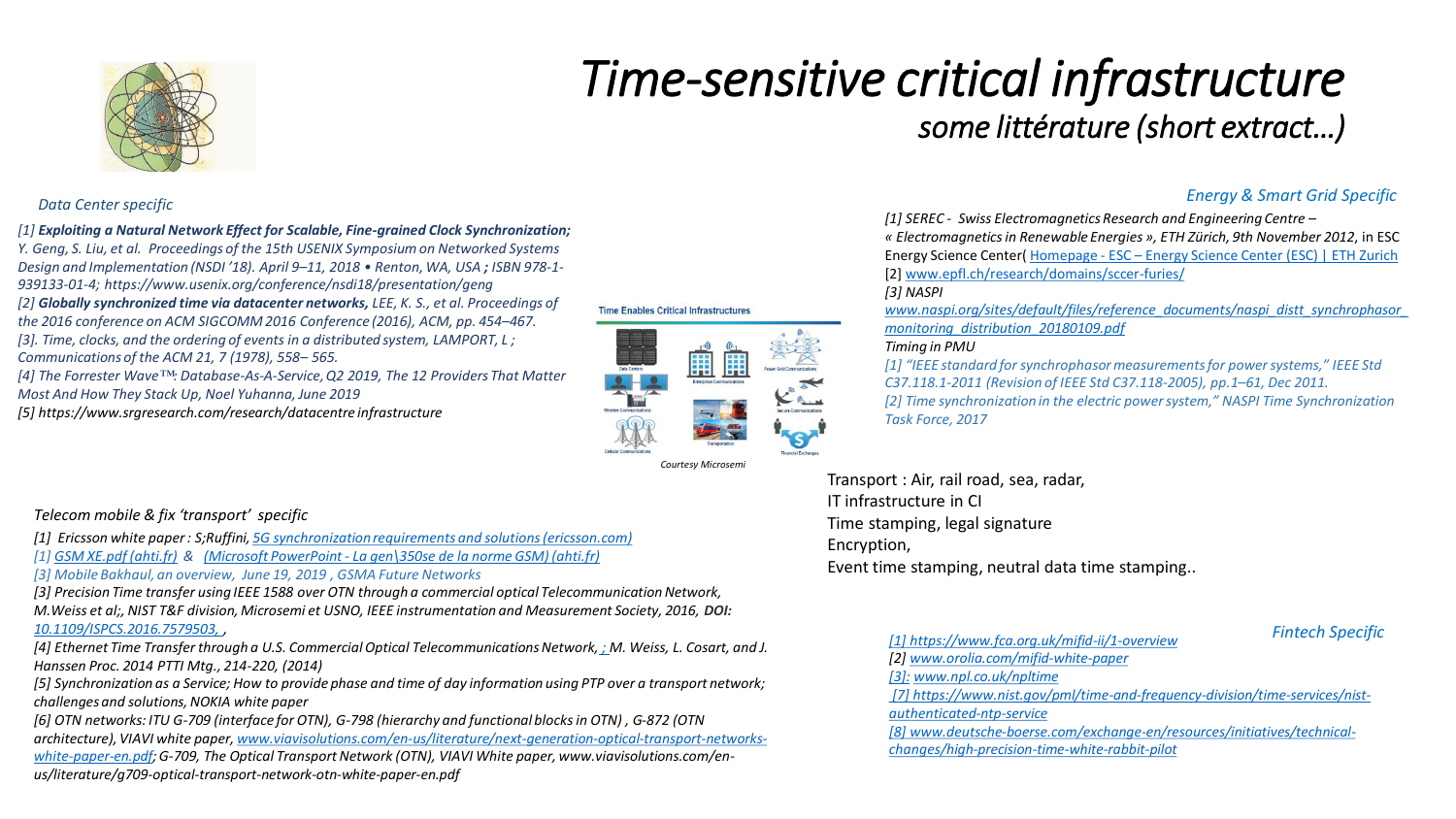

### *Time-sensitive critical infrastructure some littérature (short extract…)*

### *[1] Exploiting a Natural Network Effect for Scalable, Fine-grained Clock Synchronization;*

*Y. Geng, S. Liu, et al. Proceedings of the 15th USENIX Symposium on Networked Systems Design and Implementation (NSDI '18). April 9–11, 2018 • Renton, WA, USA ; ISBN 978-1- 939133-01-4; https://www.usenix.org/conference/nsdi18/presentation/geng [2] Globally synchronized time via datacenter networks, LEE, K. S., et al. Proceedings of the 2016 conference on ACM SIGCOMM 2016 Conference (2016), ACM, pp. 454–467. [3]. Time, clocks, and the ordering of events in a distributed system, LAMPORT, L ; Communications of the ACM 21, 7 (1978), 558– 565. [4] The Forrester Wave™: Database-As-A-Service, Q2 2019, The 12 Providers That Matter Most And How They Stack Up, Noel Yuhanna, June 2019 [5] https://www.srgresearch.com/research/datacentre infrastructure*

### **Time Enables Critical Infrastructures**



*Courtesy Microsemi*

### *Energy & Smart Grid Specific Data Center specific*

*[1] SEREC - Swiss Electromagnetics Research and Engineering Centre –*

*« Electromagneticsin Renewable Energies », ETH Zürich, 9th November 2012*, in ESC Energy Science Center( Homepage - ESC – [Energy Science Center \(ESC\) | ETH Zurich](https://esc.ethz.ch/) [2] [www.epfl.ch/research/domains/sccer-furies/](http://www.epfl.ch/research/domains/sccer-furies/)

### *[3] NASPI*

*[www.naspi.org/sites/default/files/reference\\_documents/naspi\\_distt\\_synchrophasor\\_](http://www.naspi.org/sites/default/files/reference_documents/naspi_distt_synchrophasor_monitoring_distribution_20180109.pdf) monitoring\_distribution\_20180109.pdf*

### *Timing in PMU*

*[1] "IEEE standard for synchrophasormeasurements for power systems," IEEE Std C37.118.1-2011 (Revision of IEEE Std C37.118-2005), pp.1–61, Dec 2011. [2] Time synchronization in the electric power system," NASPI Time Synchronization Task Force, 2017*

Transport : Air, rail road, sea, radar, IT infrastructure in CI Time stamping, legal signature Encryption, Event time stamping, neutral data time stamping..

### *Fintech Specific*

*Telecom mobile & fix 'transport' specific [1] Ericsson white paper : S;Ruffini, [5G synchronization requirements and solutions \(ericsson.com\)](https://www.ericsson.com/48e592/assets/local/reports-papers/ericsson-technology-review/docs/2021/5g-synchronization-requirements-and-solutions.pdf)*

*[1] [GSM XE.pdf \(ahti.fr\)](http://www.ahti.fr/cahiers/c24/GSM%20XE.pdf) & (Microsoft PowerPoint - [La gen\350se de la norme GSM\) \(ahti.fr\)](http://www.ahti.fr/cahiers/c6/GENESE%20DE%20LA%20NORME%20GSM%20(P.%20Dupuis).pdf)*

*[3] Mobile Bakhaul, an overview, June 19, 2019 , GSMA Future Networks* 

*[3] Precision Time transfer using IEEE 1588 over OTN through a commercial optical Telecommunication Network, M.Weiss et al;, NIST T&F division, Microsemi et USNO, IEEE instrumentation and Measurement Society, 2016, DOI: [10.1109/ISPCS.2016.7579503](https://doi.org/10.1109/ISPCS.2016.7579503), ,*

*[4] Ethernet Time Transfer through a U.S. Commercial Optical Telecommunications Network, ; M. Weiss, L. Cosart, and J. Hanssen Proc. 2014 PTTI Mtg., 214-220, (2014)*

*[5] Synchronization as a Service; How to provide phase and time of day information using PTP over a transport network; challenges and solutions, NOKIA white paper*

*[6] OTN networks: ITU G-709 (interface for OTN), G-798 (hierarchy and functional blocks in OTN) , G-872 (OTN [architecture\), VIAVI white paper, www.viavisolutions.com/en-us/literature/next-generation-optical-transport-networks](http://www.viavisolutions.com/en-us/literature/next-generation-optical-transport-networks-white-paper-en.pdf)white-paper-en.pdf; G-709, The Optical Transport Network (OTN), VIAVI White paper, www.viavisolutions.com/enus/literature/g709-optical-transport-network-otn-white-paper-en.pdf* 

*[1] <https://www.fca.org.uk/mifid-ii/1-overview> [2] [www.orolia.com/mifid-white-paper](http://www.orolia.com/mifid-white-paper) [3]: [www.npl.co.uk/npltime](http://www.npl.co.uk/npltime) [\[7\] https://www.nist.gov/pml/time-and-frequency-division/time-services/nist](https://www.nist.gov/pml/time-and-frequency-division/time-services/nist-authenticated-ntp-service)authenticated-ntp-service [\[8\] www.deutsche-boerse.com/exchange-en/resources/initiatives/technical](http://www.deutsche-boerse.com/exchange-en/resources/initiatives/technical-changes/high-precision-time-white-rabbit-pilot)changes/high-precision-time-white-rabbit-pilot*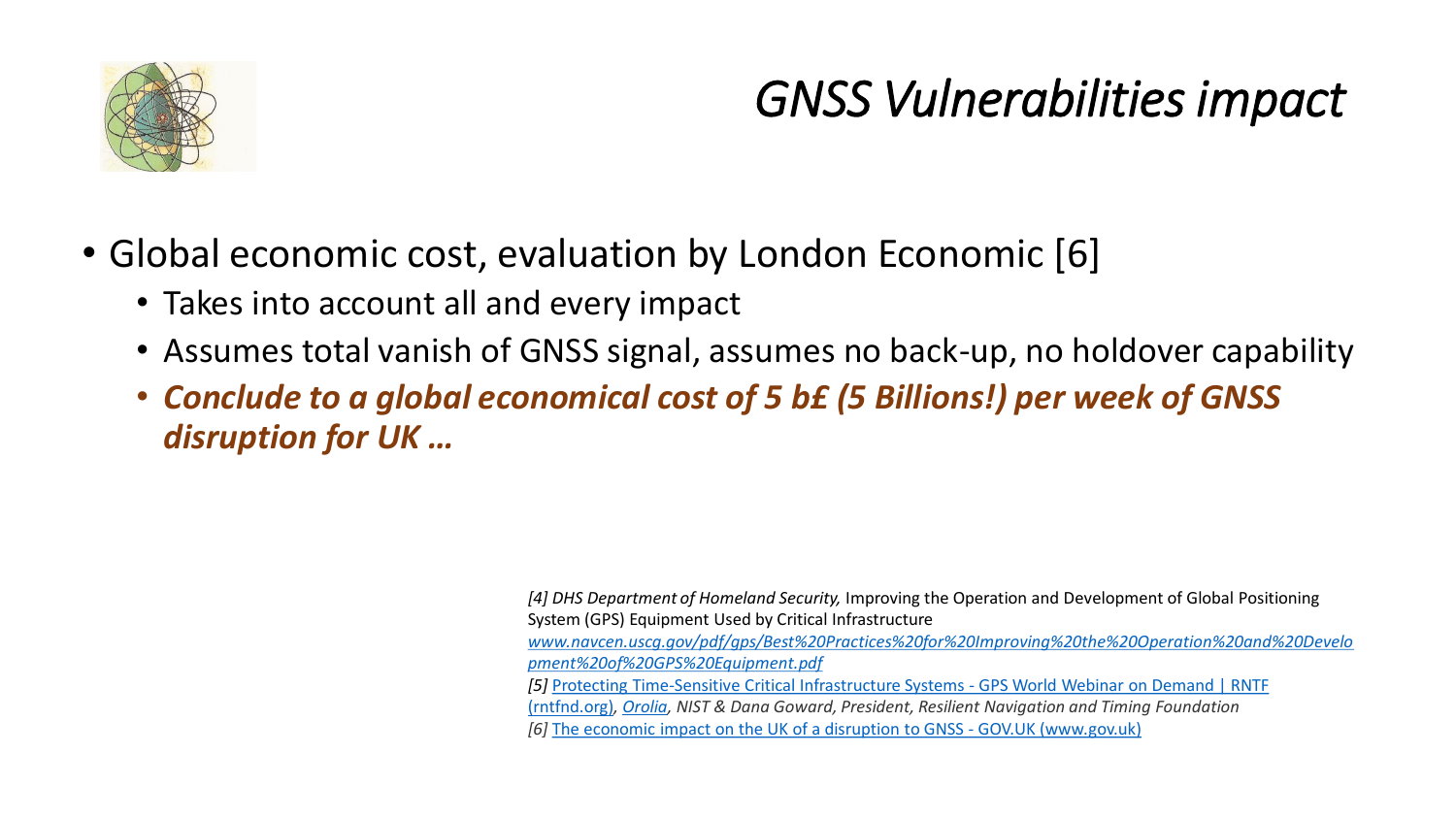

### *GNSS Vulnerabilitiesimpact*

- Global economic cost, evaluation by London Economic [6]
	- Takes into account all and every impact
	- Assumes total vanish of GNSS signal, assumes no back-up, no holdover capability
	- *Conclude to a global economical cost of 5 b£ (5 Billions!) per week of GNSS disruption for UK …*

*[4] DHS Department of Homeland Security,* Improving the Operation and Development of Global Positioning System (GPS) Equipment Used by Critical Infrastructure *[www.navcen.uscg.gov/pdf/gps/Best%20Practices%20for%20Improving%20the%20Operation%20and%20Develo](http://www.navcen.uscg.gov/pdf/gps/Best%20Practices%20for%20Improving%20the%20Operation%20and%20Development%20of%20GPS%20Equipment.pdf) pment%20of%20GPS%20Equipment.pdf [5]* [Protecting Time-Sensitive Critical Infrastructure Systems -](https://rntfnd.org/2018/11/21/protecting-time-sensitive-critical-infrastructure-systems-gps-world-webinar-on-demand/) GPS World Webinar on Demand | RNTF (rntfnd.org)*, [Orolia](https://www.orolia.com/), NIST & Dana Goward, President, Resilient Navigation and Timing Foundation [6]* [The economic impact on the UK of a disruption to GNSS -](https://www.gov.uk/government/publications/the-economic-impact-on-the-uk-of-a-disruption-to-gnss) GOV.UK (www.gov.uk)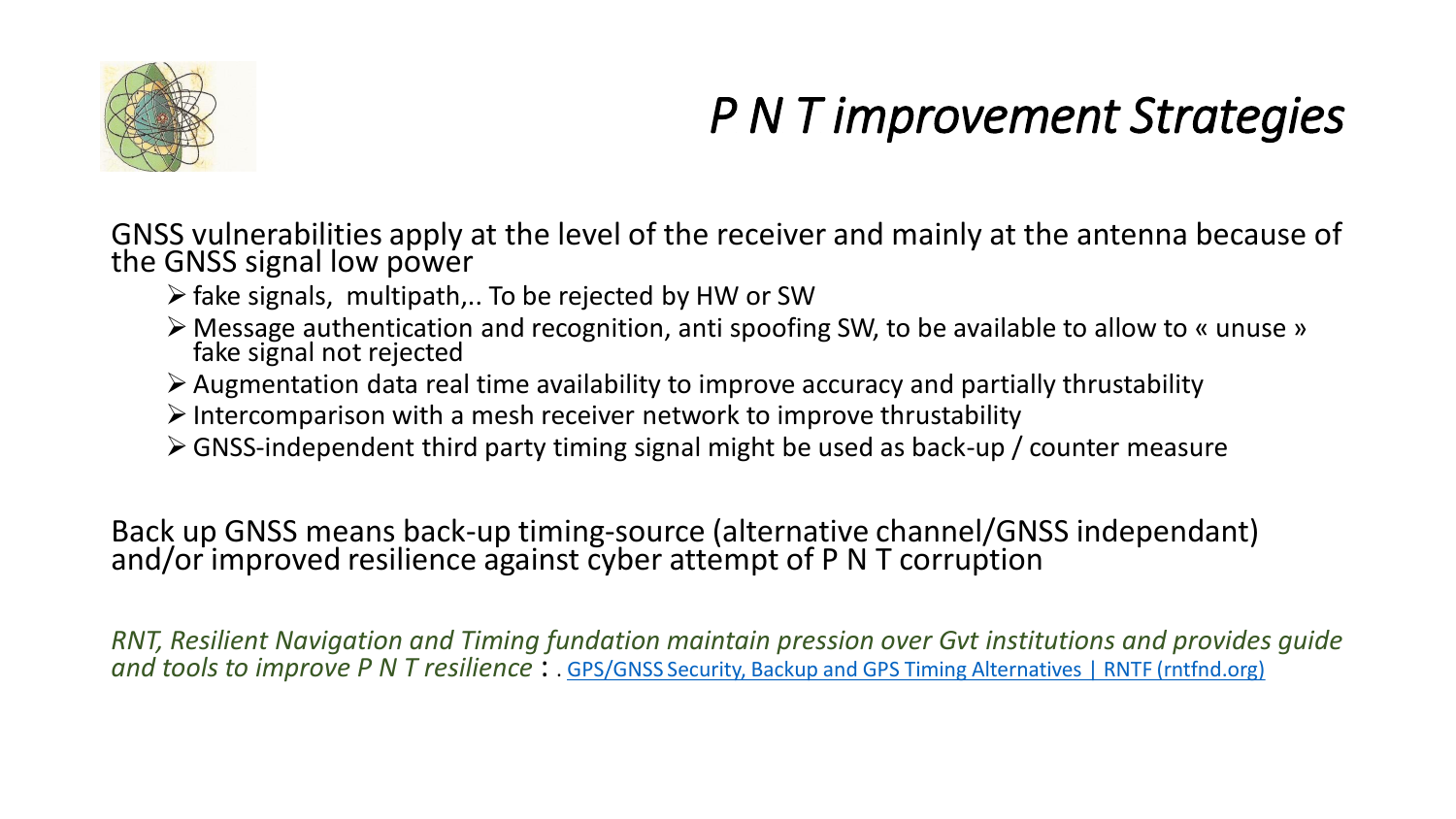

## *P N T improvement Strategies*

GNSS vulnerabilities apply at the level of the receiver and mainly at the antenna because of the GNSS signal low power

- $\triangleright$  fake signals, multipath,.. To be rejected by HW or SW
- ➢ Message authentication and recognition, anti spoofing SW, to be available to allow to « unuse » fake signal not rejected
- $\triangleright$  Augmentation data real time availability to improve accuracy and partially thrustability
- $\triangleright$  Intercomparison with a mesh receiver network to improve thrustability
- ➢GNSS-independent third party timing signal might be used as back-up / counter measure

Back up GNSS means back-up timing-source (alternative channel/GNSS independant) and/or improved resilience against cyber attempt of P N T corruption

*RNT, Resilient Navigation and Timing fundation maintain pression over Gvt institutions and provides guide and tools to improve P N T resilience* : . [GPS/GNSS Security, Backup and GPS Timing Alternatives | RNTF \(rntfnd.org\)](https://rntfnd.org/#wpcf7-f16536-p30471-o2)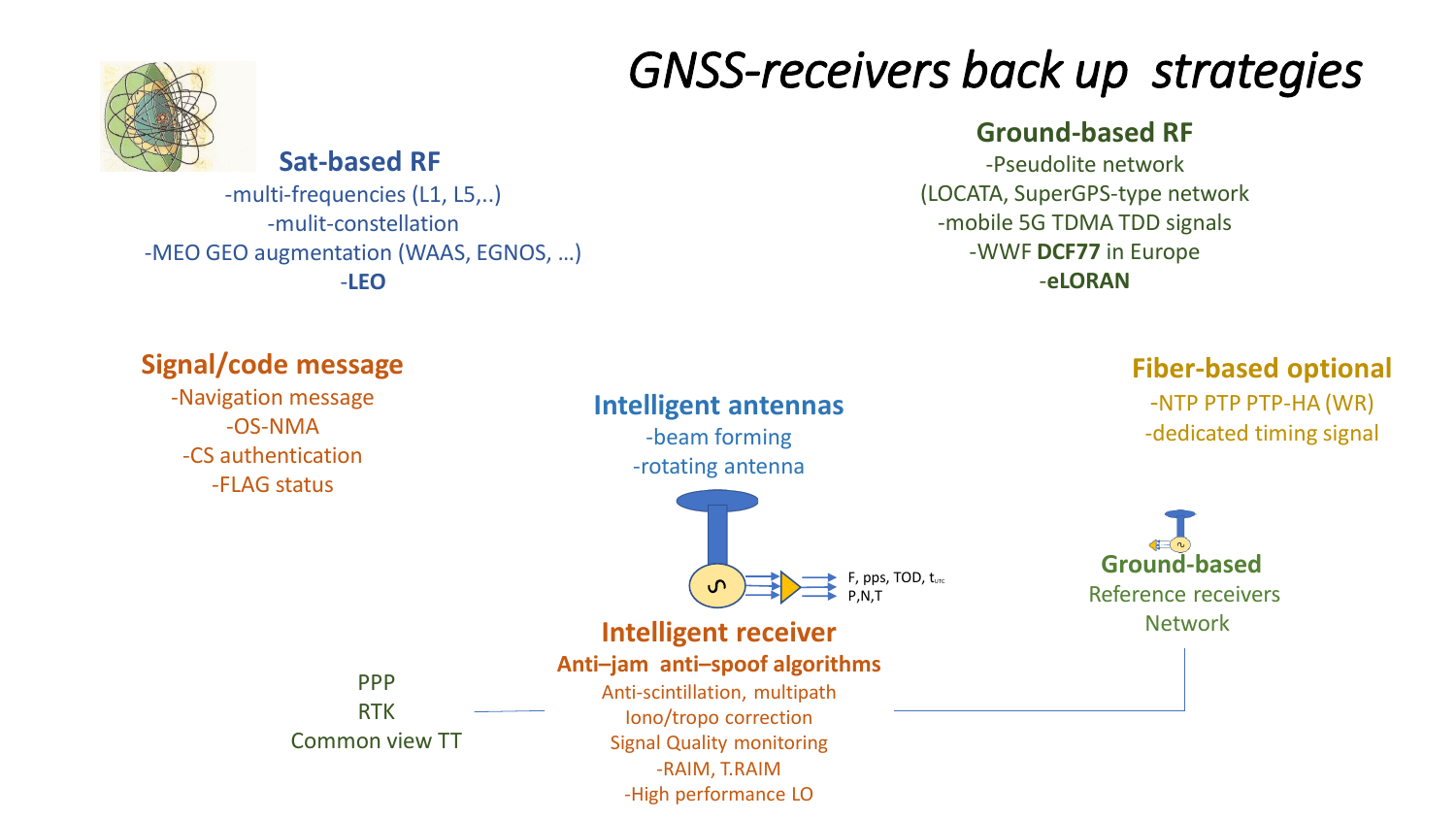### *GNSS-receivers back up strategies*

### **Ground-based RF**

-Pseudolite network (LOCATA, SuperGPS-type network -mobile 5G TDMA TDD signals -WWF **DCF77** in Europe -**eLORAN**





-multi-frequencies (L1, L5,..) -mulit-constellation -MEO GEO augmentation (WAAS, EGNOS, …) -**LEO**

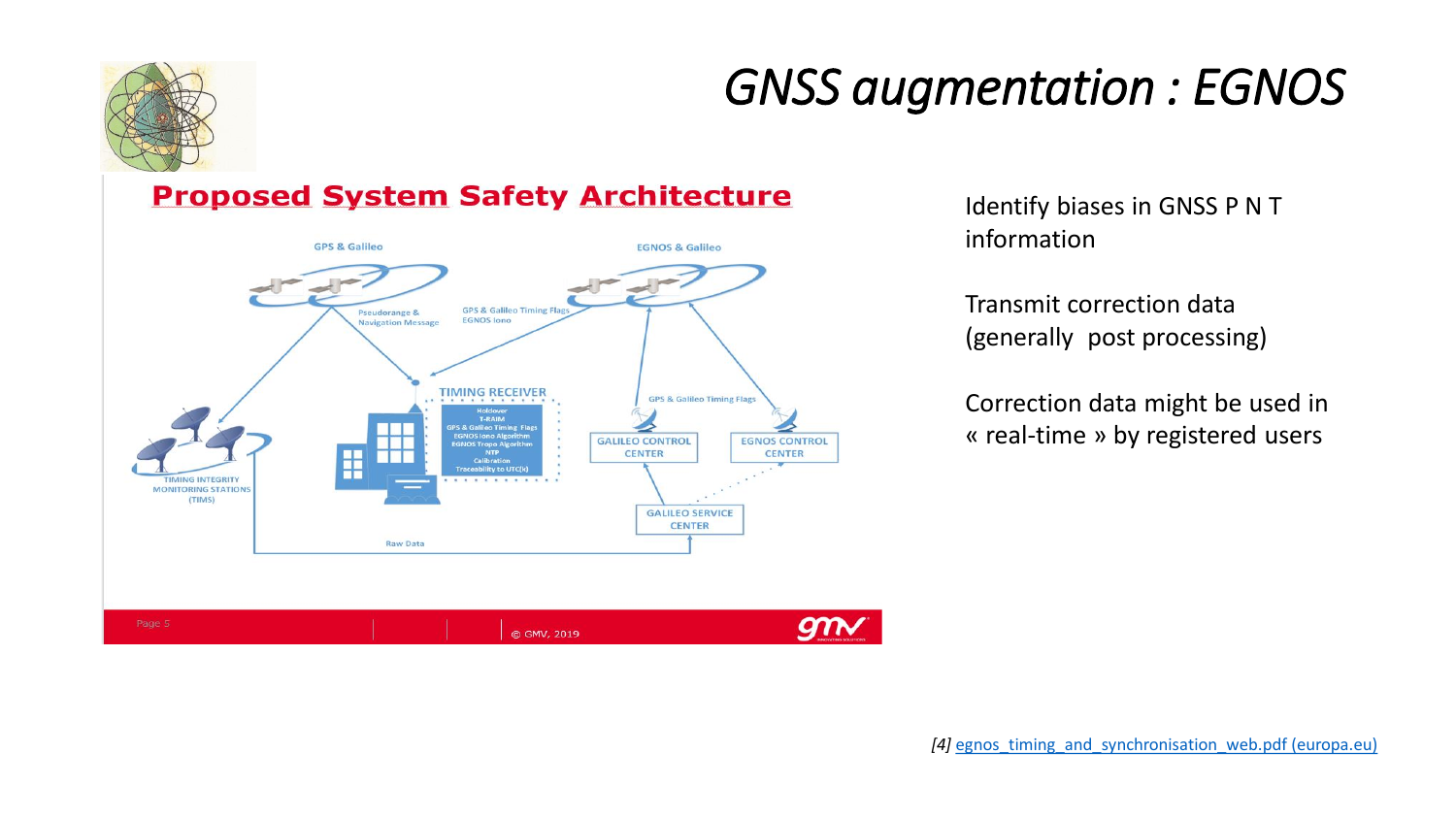

### *GNSS augmentation : EGNOS*

### **Proposed System Safety Architecture**



Identify biases in GNSS P N T information

Transmit correction data (generally post processing)

Correction data might be used in « real-time » by registered users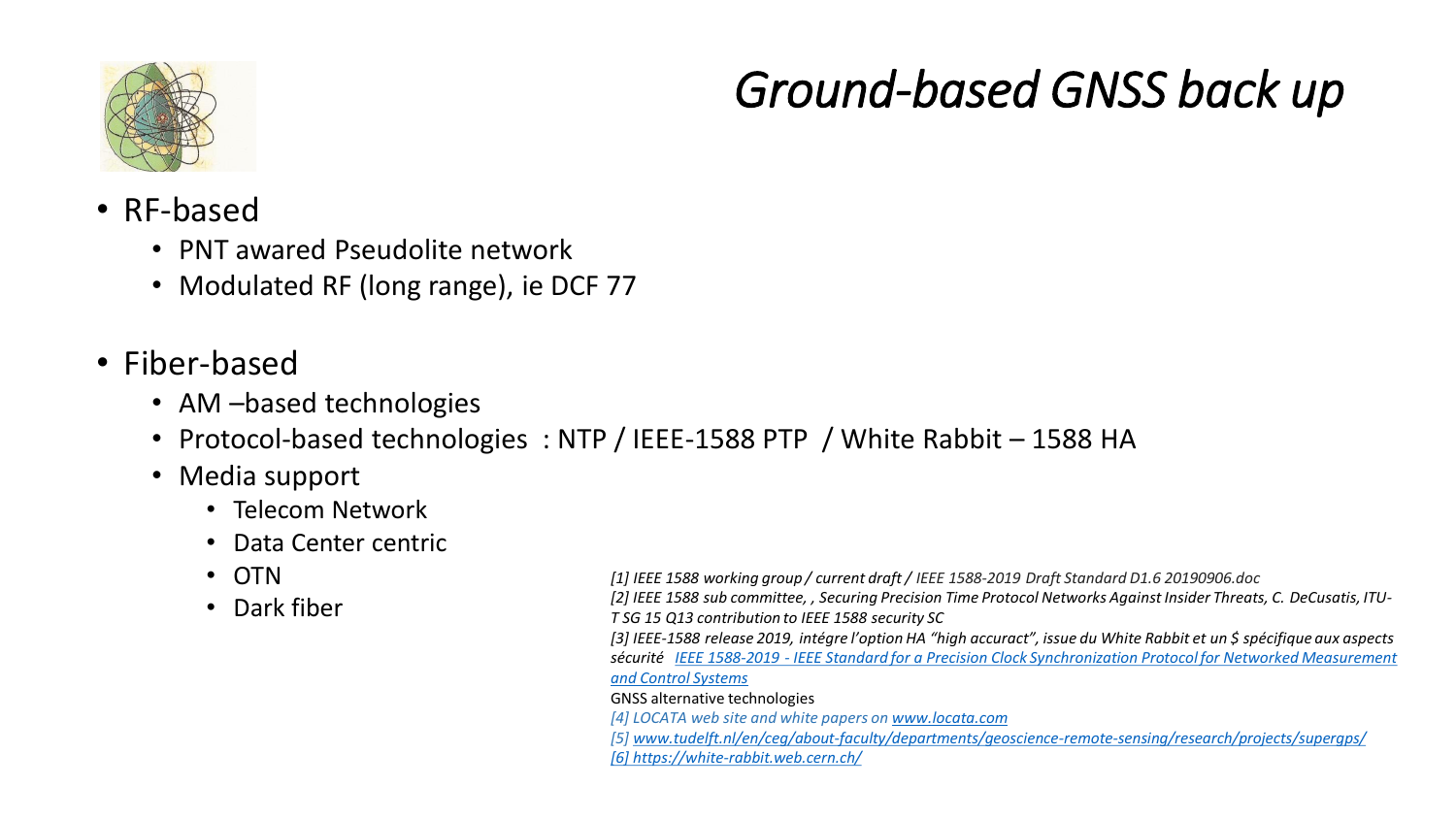

### *Ground-based GNSS back up*

- RF-based
	- PNT awared Pseudolite network
	- Modulated RF (long range), ie DCF 77
- Fiber-based
	- AM –based technologies
	- Protocol-based technologies : NTP / IEEE-1588 PTP / White Rabbit 1588 HA
	- Media support
		- Telecom Network
		- Data Center centric
		- OTN
		- Dark fiber

*[1] IEEE 1588 working group / current draft / IEEE 1588-2019 Draft Standard D1.6 20190906.doc [2] IEEE 1588 sub committee, , Securing Precision Time Protocol Networks Against Insider Threats, C. DeCusatis, ITU-T SG 15 Q13 contribution to IEEE 1588 security SC [3] IEEE-1588 release 2019, intégre l'option HA "high accuract", issue du White Rabbit et un \$ spécifique aux aspects sécurité IEEE 1588-2019 - [IEEE Standard for a Precision Clock Synchronization Protocol for Networked Measurement](https://standards.ieee.org/standard/1588-2019.html)  and Control Systems*

### GNSS alternative technologies

- *[4] LOCATA web site and white papers on [www.locata.com](http://www.locata.com/)*
- *[5] [www.tudelft.nl/en/ceg/about-faculty/departments/geoscience-remote-sensing/research/projects/supergps/](http://www.tudelft.nl/en/ceg/about-faculty/departments/geoscience-remote-sensing/research/projects/supergps/) [\[6\] https://white-rabbit.web.cern.ch/](https://white-rabbit.web.cern.ch/)*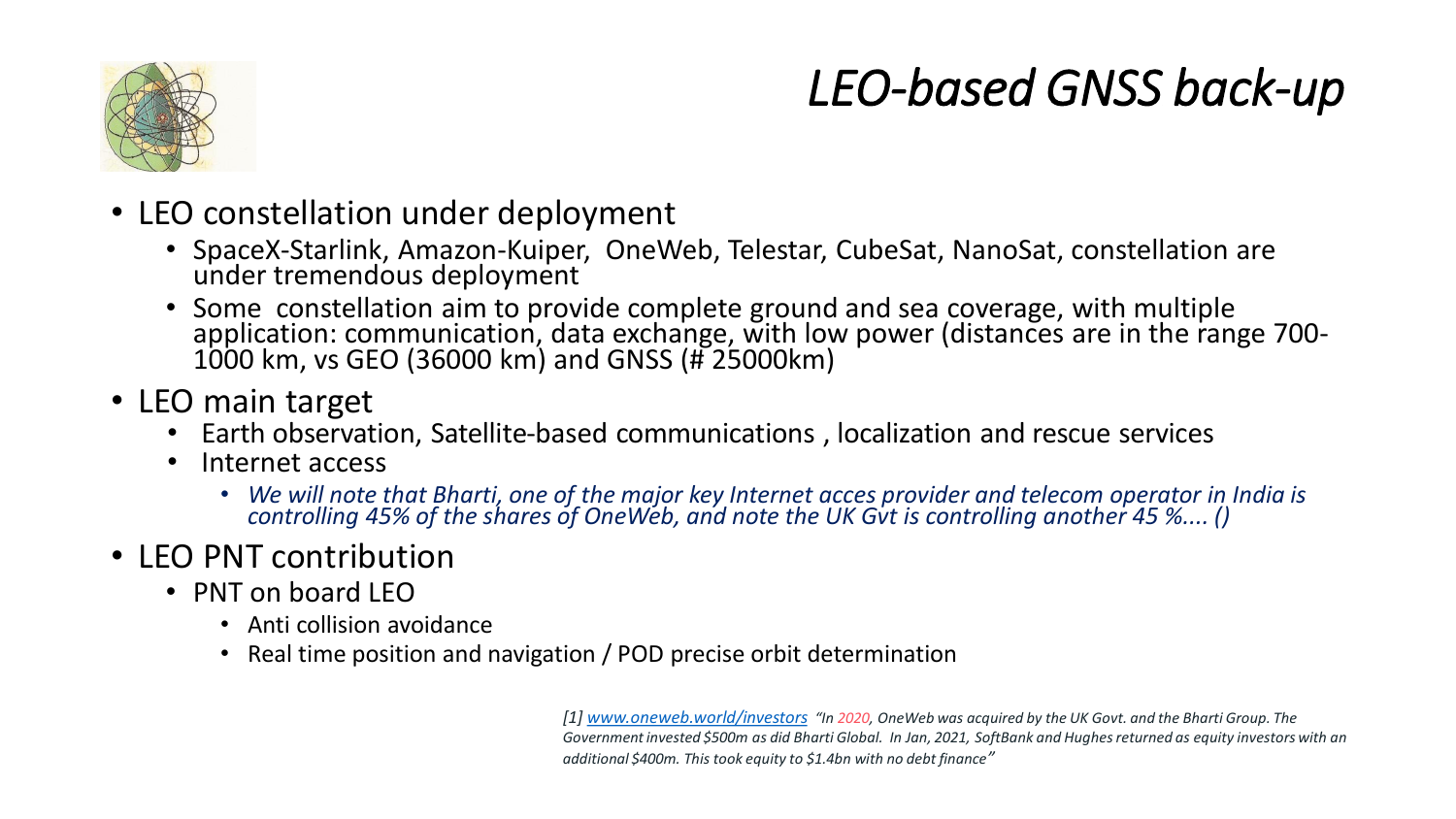

## *LEO-based GNSS back-up*

- LEO constellation under deployment
	- SpaceX-Starlink, Amazon-Kuiper, OneWeb, Telestar, CubeSat, NanoSat, constellation are under tremendous deployment
	- Some constellation aim to provide complete ground and sea coverage, with multiple application: communication, data exchange, with low power (distances are in the range 700- 1000 km, vs GEO (36000 km) and GNSS (# 25000km)
- LEO main target
	- Earth observation, Satellite-based communications , localization and rescue services
	- Internet access
		- *We will note that Bharti, one of the major key Internet acces provider and telecom operator in India is controlling 45% of the shares of OneWeb, and note the UK Gvt is controlling another 45 %.... ()*
- LEO PNT contribution
	- PNT on board LEO
		- Anti collision avoidance
		- Real time position and navigation / POD precise orbit determination

*[1] [www.oneweb.world/investors](http://www.oneweb.world/investors) "In 2020, OneWeb was acquired by the UK Govt. and the Bharti Group. The Government invested \$500m as did Bharti Global. In Jan, 2021, SoftBank and Hughes returned as equity investors with an additional \$400m. This took equity to \$1.4bn with no debt finance"*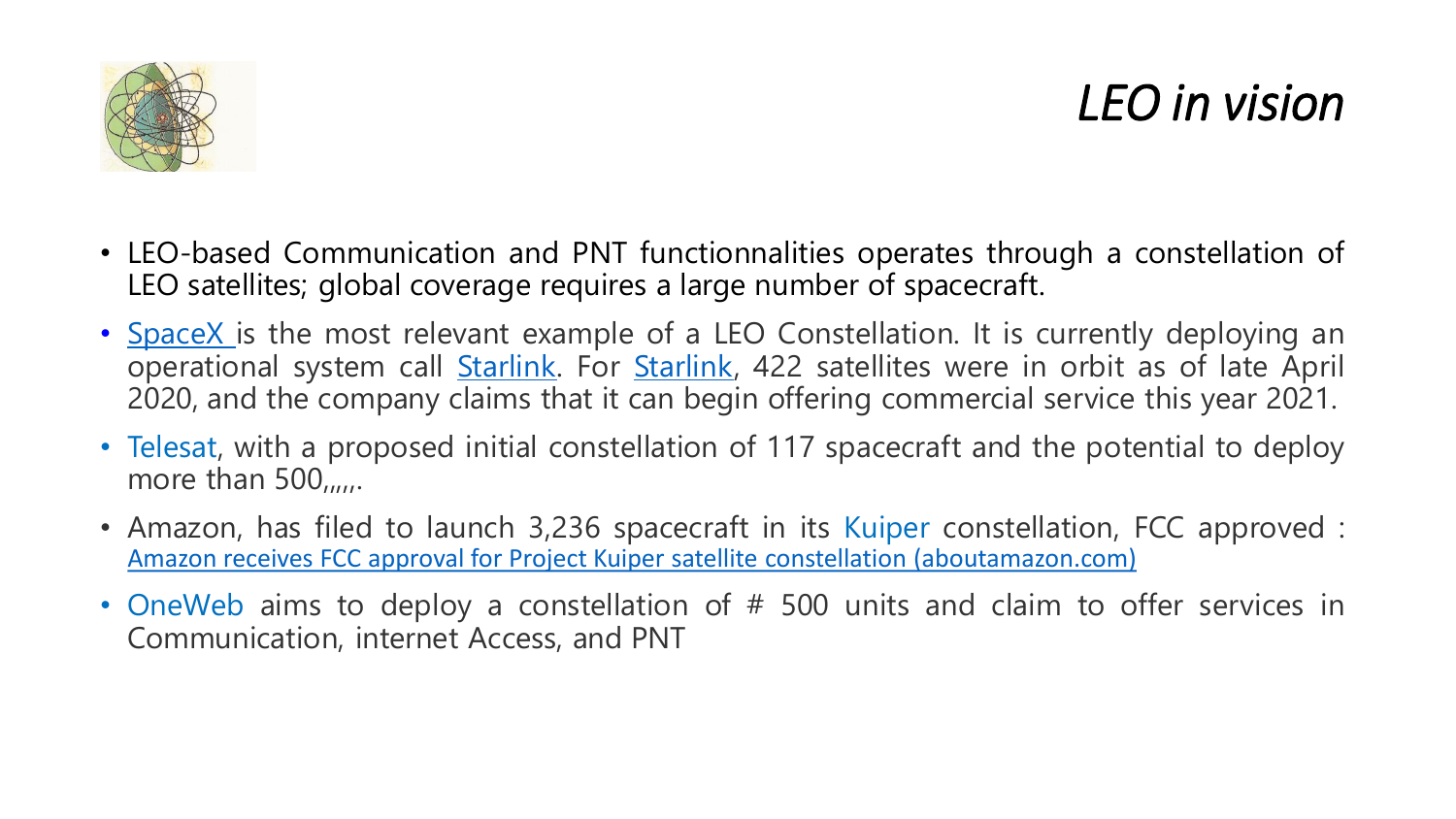

### *LEO in vision*

- LEO-based Communication and PNT functionnalities operates through a constellation of LEO satellites; global coverage requires a large number of spacecraft.
- [SpaceX](https://www.spacex.com/) is the most relevant example of a LEO Constellation. It is currently deploying an operational system call **[Starlink](https://www.starlink.com/)**. For **Starlink**, 422 satellites were in orbit as of late April 2020, and the company claims that it can begin offering commercial service this year 2021.
- Telesat, with a proposed initial constellation of 117 spacecraft and the potential to deploy more than  $500_{\mu\mu}$ .
- Amazon, has filed to launch 3,236 spacecraft in its Kuiper constellation, FCC approved : Amazon receives FCC approval for Project Kuiper satellite constellation [\(aboutamazon.com\)](https://www.aboutamazon.com/news/company-news/amazon-receives-fcc-approval-for-project-kuiper-satellite-constellation)
- OneWeb aims to deploy a constellation of # 500 units and claim to offer services in Communication, internet Access, and PNT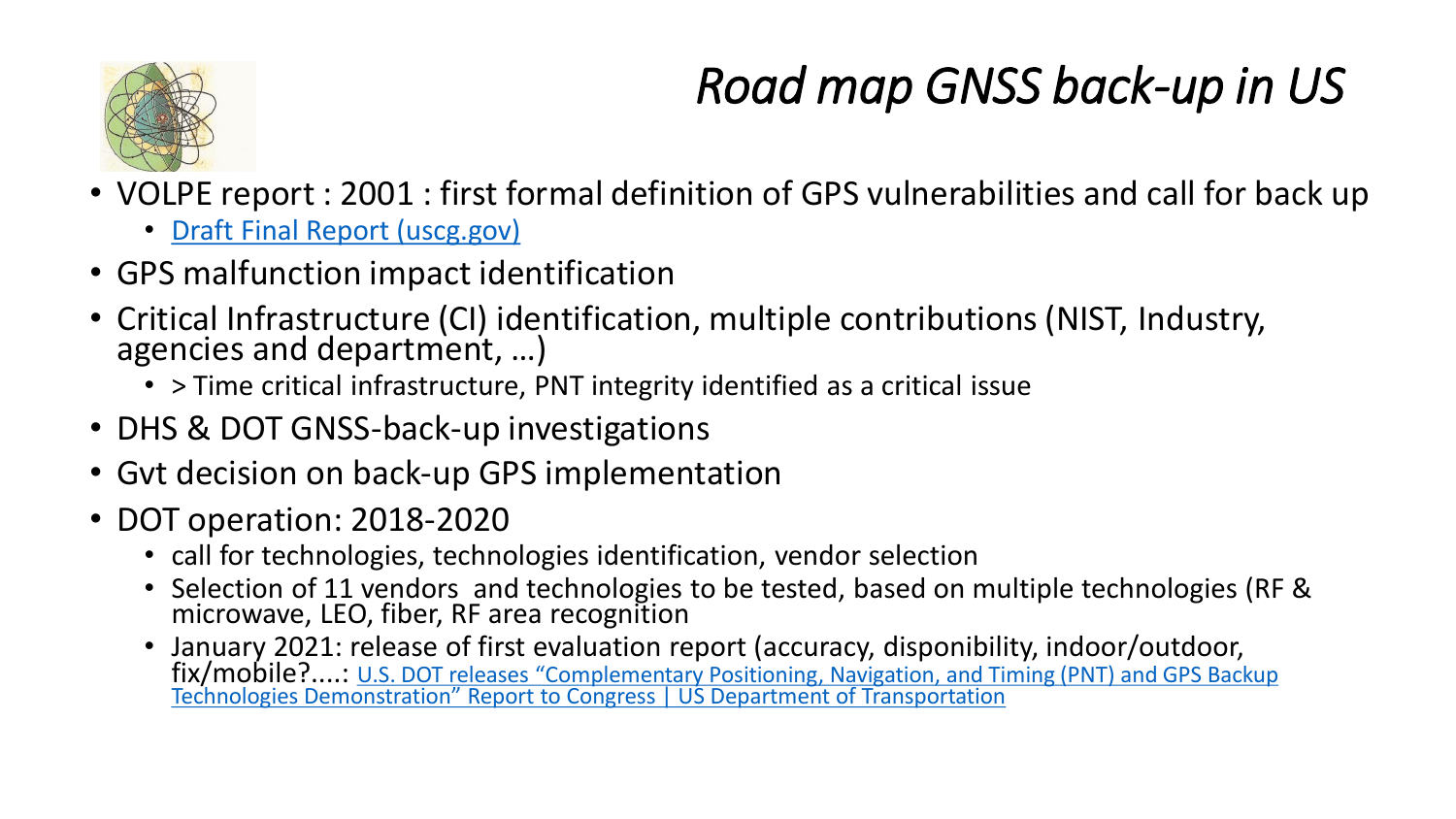

## *Road map GNSS back-up in US*

- VOLPE report : 2001 : first formal definition of GPS vulnerabilities and call for back up
	- [Draft Final Report \(uscg.gov\)](https://navcen.uscg.gov/pdf/vulnerability_assess_2001.pdf)
- GPS malfunction impact identification
- Critical Infrastructure (CI) identification, multiple contributions (NIST, Industry, agencies and department, …)
	- > Time critical infrastructure, PNT integrity identified as a critical issue
- DHS & DOT GNSS-back-up investigations
- Gvt decision on back-up GPS implementation
- DOT operation: 2018-2020
	- call for technologies, technologies identification, vendor selection
	- Selection of 11 vendors and technologies to be tested, based on multiple technologies (RF & microwave, LEO, fiber, RF area recognition
	- January 2021: release of first evaluation report (accuracy, disponibility, indoor/outdoor, fix/mobile?....: [U.S. DOT releases "Complementary Positioning, Navigation, and Timing \(PNT\) and GPS Backup](https://www.transportation.gov/briefing-room/us-dot-releases-complementary-positioning-navigation-and-timing-pnt-and-gps-backup)  Technologies Demonstration" Report to Congress | US Department of Transportation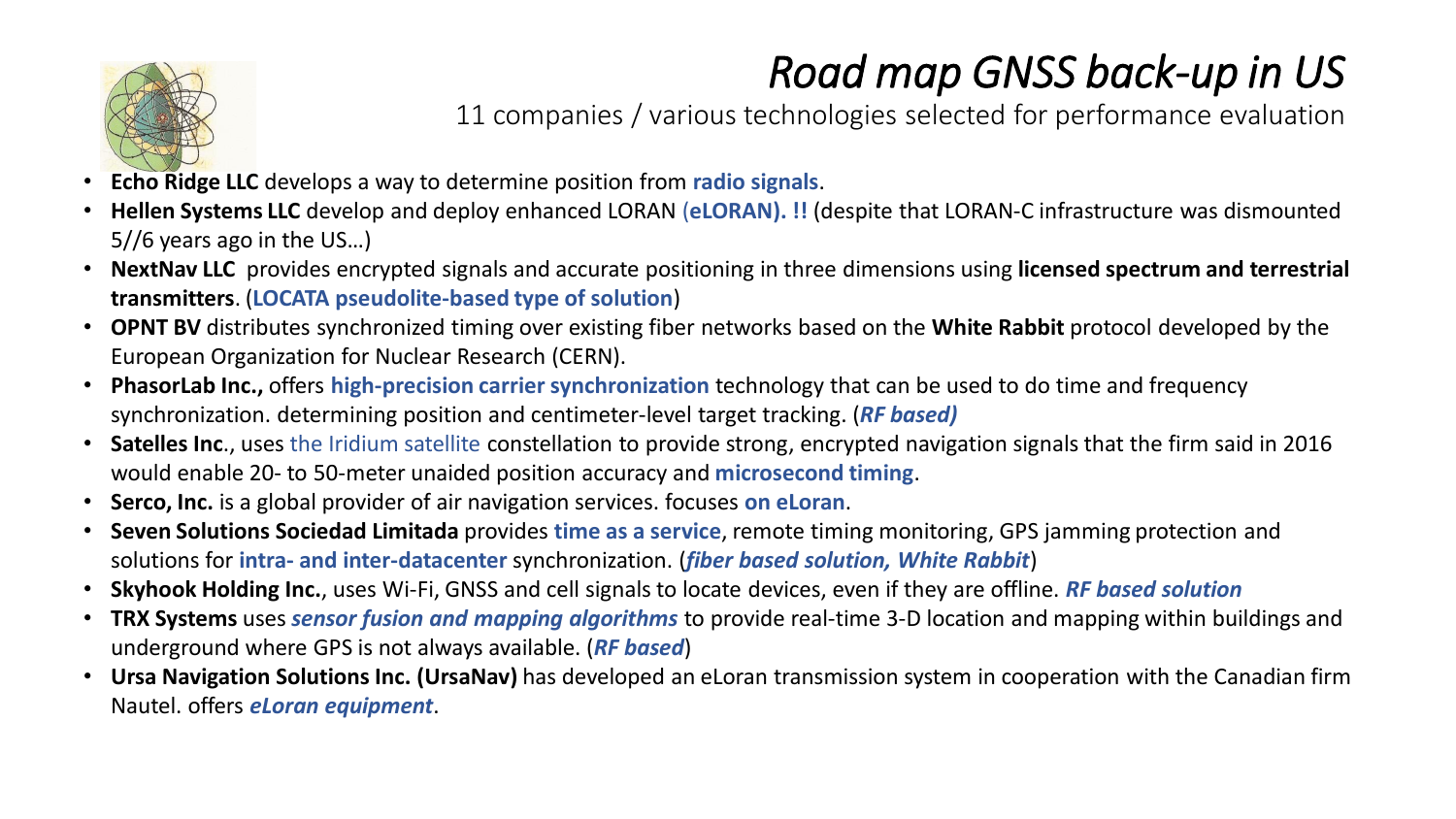

### *Road map GNSS back-up in US*

11 companies / various technologies selected for performance evaluation

- **Echo Ridge LLC** develops a way to determine position from **radio signals**.
- **Hellen Systems LLC** develop and deploy enhanced LORAN (**eLORAN). !!** (despite that LORAN-C infrastructure was dismounted 5//6 years ago in the US…)
- **NextNav LLC** provides encrypted signals and accurate positioning in three dimensions using **licensed spectrum and terrestrial transmitters**. (**LOCATA pseudolite-based type of solution**)
- **OPNT BV** distributes synchronized timing over existing fiber networks based on the **White Rabbit** protocol developed by the European Organization for Nuclear Research (CERN).
- **PhasorLab Inc.,** offers **high-precision carrier synchronization** technology that can be used to do time and frequency synchronization. determining position and centimeter-level target tracking. (*RF based)*
- **Satelles Inc**., uses the Iridium satellite constellation to provide strong, encrypted navigation signals that the firm said in 2016 would enable 20- to 50-meter unaided position accuracy and **microsecond timing**.
- **Serco, Inc.** is a global provider of air navigation services. focuses **on eLoran**.
- **Seven Solutions Sociedad Limitada** provides **time as a service**, remote timing monitoring, GPS jamming protection and solutions for **intra- and inter-datacenter** synchronization. (*fiber based solution, White Rabbit*)
- **Skyhook Holding Inc.**, uses Wi-Fi, GNSS and cell signals to locate devices, even if they are offline. *RF based solution*
- **TRX Systems** uses *sensor fusion and mapping algorithms* to provide real-time 3-D location and mapping within buildings and underground where GPS is not always available. (*RF based*)
- **Ursa Navigation Solutions Inc. (UrsaNav)** has developed an eLoran transmission system in cooperation with the Canadian firm Nautel. offers *eLoran equipment*.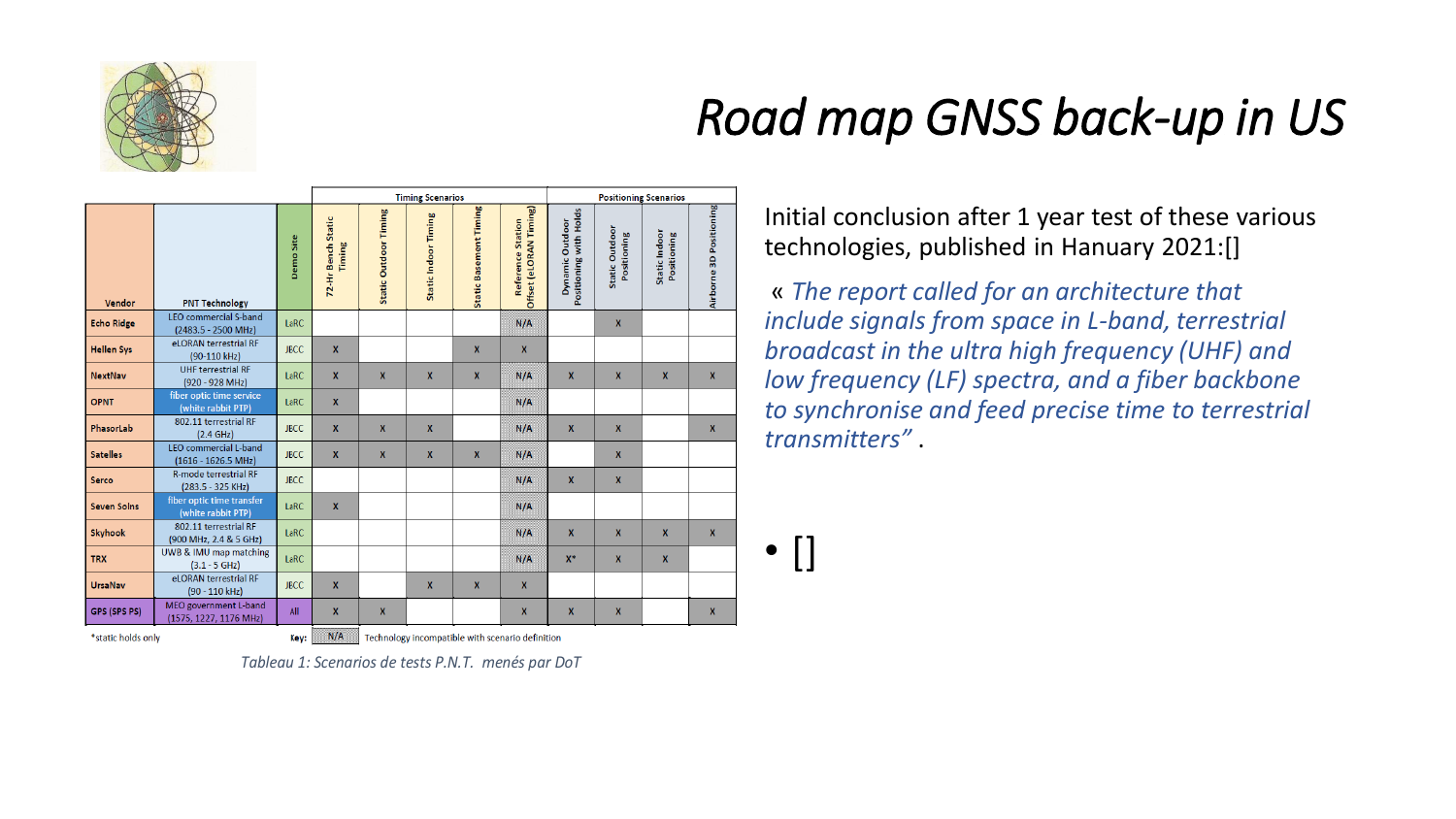

## *Road map GNSS back-up in US*

|                    |                                                               |             | <b>Timing Scenarios</b>      |                              |                      |                               | <b>Positioning Scenarios</b>                       |                                           |                               |                              |                         |
|--------------------|---------------------------------------------------------------|-------------|------------------------------|------------------------------|----------------------|-------------------------------|----------------------------------------------------|-------------------------------------------|-------------------------------|------------------------------|-------------------------|
| Vendor             | <b>PNT Technology</b>                                         | Demo Site   | 72-Hr Bench Static<br>Timing | <b>Static Outdoor Timing</b> | Static Indoor Timing | <b>Static Basement Timing</b> | Offset (eLORAN Timing)<br><b>Reference Station</b> | Positioning with Holds<br>Dynamic Outdoor | Static Outdoor<br>Positioning | Static Indoor<br>Positioning | Airborne 3D Positioning |
| <b>Echo Ridge</b>  | <b>LEO</b> commercial S-band<br>(2483.5 - 2500 MHz)           | LaRC        |                              |                              |                      |                               | N/A                                                |                                           | $\mathbf{x}$                  |                              |                         |
| <b>Hellen Sys</b>  | eLORAN terrestrial RF<br>(90-110 kHz)                         | <b>JBCC</b> | $\mathbf{x}$                 |                              |                      | $\boldsymbol{x}$              | $\mathbf{x}$                                       |                                           |                               |                              |                         |
| <b>NextNav</b>     | <b>UHF terrestrial RF</b><br>$(920 - 928 MHz)$                | LaRC        | $\mathbf{x}$                 | X                            | $\mathbf{x}$         | $\mathbf{x}$                  | N/A                                                | $\mathbf{x}$                              | $\mathbf{x}$                  | $\mathbf{x}$                 | $\mathbf{x}$            |
| <b>OPNT</b>        | fiber optic time service<br>(white rabbit PTP)                | LaRC        | $\mathbf{x}$                 |                              |                      |                               | N/A                                                |                                           |                               |                              |                         |
| PhasorLab          | 802.11 terrestrial RF<br>(2.4 GHz)                            | <b>JBCC</b> | $\mathbf{x}$                 | X                            | $\mathbf{x}$         |                               | N/A                                                | $\mathbf{x}$                              | $\mathbf{x}$                  |                              | $\mathbf{x}$            |
| <b>Satelles</b>    | <b>LEO</b> commercial L-band<br>$(1616 - 1626.5 \text{ MHz})$ | <b>JBCC</b> | $\boldsymbol{x}$             | X                            | $\mathbf{x}$         | $\boldsymbol{x}$              | N/A                                                |                                           | $\boldsymbol{x}$              |                              |                         |
| <b>Serco</b>       | <b>R-mode terrestrial RF</b><br>$(283.5 - 325$ KHz)           | <b>JBCC</b> |                              |                              |                      |                               | N/A                                                | $\mathsf{x}$                              | $\boldsymbol{x}$              |                              |                         |
| <b>Seven Solns</b> | fiber optic time transfer<br>(white rabbit PTP)               | LaRC        | $\mathbf{x}$                 |                              |                      |                               | N/A                                                |                                           |                               |                              |                         |
| <b>Skyhook</b>     | 802.11 terrestrial RF<br>(900 MHz, 2.4 & 5 GHz)               | LaRC        |                              |                              |                      |                               | N/A                                                | $\mathbf{x}$                              | $\mathbf{x}$                  | $\mathbf x$                  | $\mathbf{x}$            |
| <b>TRX</b>         | UWB & IMU map matching<br>$(3.1 - 5 GHz)$                     | LaRC        |                              |                              |                      |                               | N/A                                                | $X^*$                                     | $\mathbf{x}$                  | $\mathbf{x}$                 |                         |
| <b>UrsaNav</b>     | eLORAN terrestrial RF<br>(90 - 110 kHz)                       | <b>JBCC</b> | $\mathbf{x}$                 |                              | $\mathbf{x}$         | $\boldsymbol{\mathsf{x}}$     | X                                                  |                                           |                               |                              |                         |
| GPS (SPS PS)       | MEO government L-band<br>(1575, 1227, 1176 MHz)               | All         | $\boldsymbol{x}$             | X                            |                      |                               | $\boldsymbol{x}$                                   | $\boldsymbol{x}$                          | $\boldsymbol{x}$              |                              | $\mathbf{x}$            |

Initial conclusion after 1 year test of these various technologies, published in Hanuary 2021:[]

« *The report called for an architecture that include signals from space in L-band, terrestrial broadcast in the ultra high frequency (UHF) and low frequency (LF) spectra, and a fiber backbone to synchronise and feed precise time to terrestrial transmitters"* .

 $\bullet$   $\lceil \rceil$ 

\*static holds only

 $N/A$ Technology incompatible with scenario definition Key:

*Tableau 1: Scenarios de tests P.N.T. menés par DoT*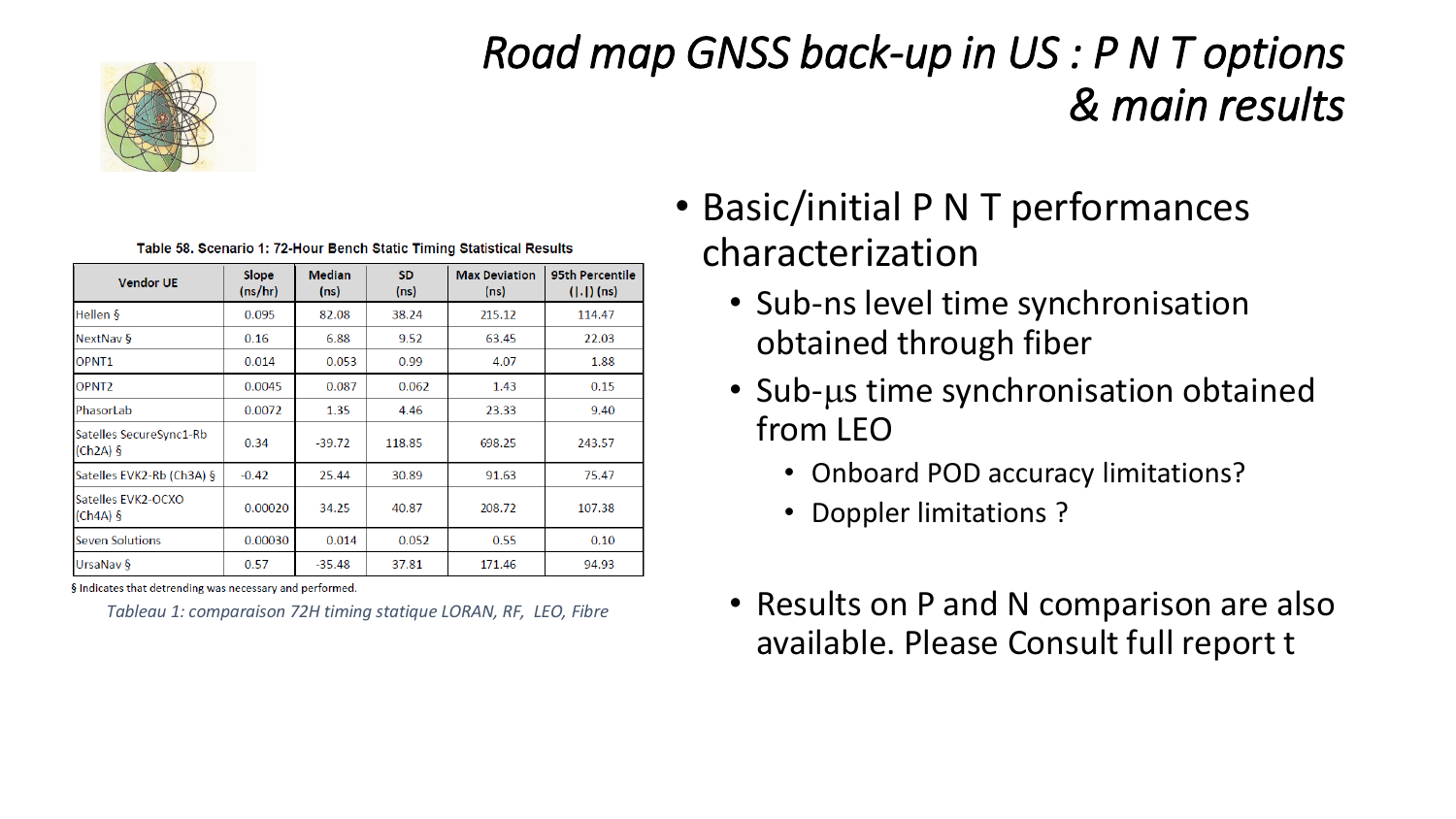

### *Road map GNSS back-up in US : P N T options & main results*

| <b>Vendor UE</b>                      | Slope<br>(ns/hr) | <b>Median</b><br>(ns) | <b>SD</b><br>(ns) | <b>Max Deviation</b><br>(ns) | 95th Percentile<br>$( . )$ (ns) |  |  |  |  |  |  |
|---------------------------------------|------------------|-----------------------|-------------------|------------------------------|---------------------------------|--|--|--|--|--|--|
| Hellen $\delta$                       | 0.095            | 82.08                 | 38.24             | 215.12                       | 114.47                          |  |  |  |  |  |  |
| NextNav §                             | 0.16             | 6.88                  | 9.52              | 63.45                        | 22.03                           |  |  |  |  |  |  |
| OPNT <sub>1</sub>                     | 0.014            | 0.053                 | 0.99              | 4.07                         | 1.88                            |  |  |  |  |  |  |
| OPNT <sub>2</sub>                     | 0.0045           | 0.087                 | 0.062             | 1.43                         | 0.15                            |  |  |  |  |  |  |
| PhasorLab                             | 0.0072           | 1.35                  | 4.46              | 23.33                        | 9.40                            |  |  |  |  |  |  |
| Satelles SecureSync1-Rb<br>$(Ch2A)$ § | 0.34             | $-39.72$              | 118.85            | 698.25                       | 243.57                          |  |  |  |  |  |  |
| Satelles EVK2-Rb (Ch3A) §             | $-0.42$          | 25.44                 | 30.89             | 91.63                        | 75.47                           |  |  |  |  |  |  |
| Satelles EVK2-OCXO<br>$(Ch4A)$ §      | 0.00020          | 34.25                 | 40.87             | 208.72                       | 107.38                          |  |  |  |  |  |  |
| <b>Seven Solutions</b>                | 0.00030          | 0.014                 | 0.052             | 0.55                         | 0.10                            |  |  |  |  |  |  |
| UrsaNav §                             | 0.57             | $-35.48$              | 37.81             | 171.46                       | 94.93                           |  |  |  |  |  |  |

Table 58, Scenario 1: 72-Hour Bench Static Timing Statistical Results

§ Indicates that detrending was necessary and performed.

*Tableau 1: comparaison 72H timing statique LORAN, RF, LEO, Fibre*

- Basic/initial P N T performances characterization
	- Sub-ns level time synchronisation obtained through fiber
	- Sub-us time synchronisation obtained from LEO
		- Onboard POD accuracy limitations?
		- Doppler limitations ?
	- Results on P and N comparison are also available. Please Consult full report t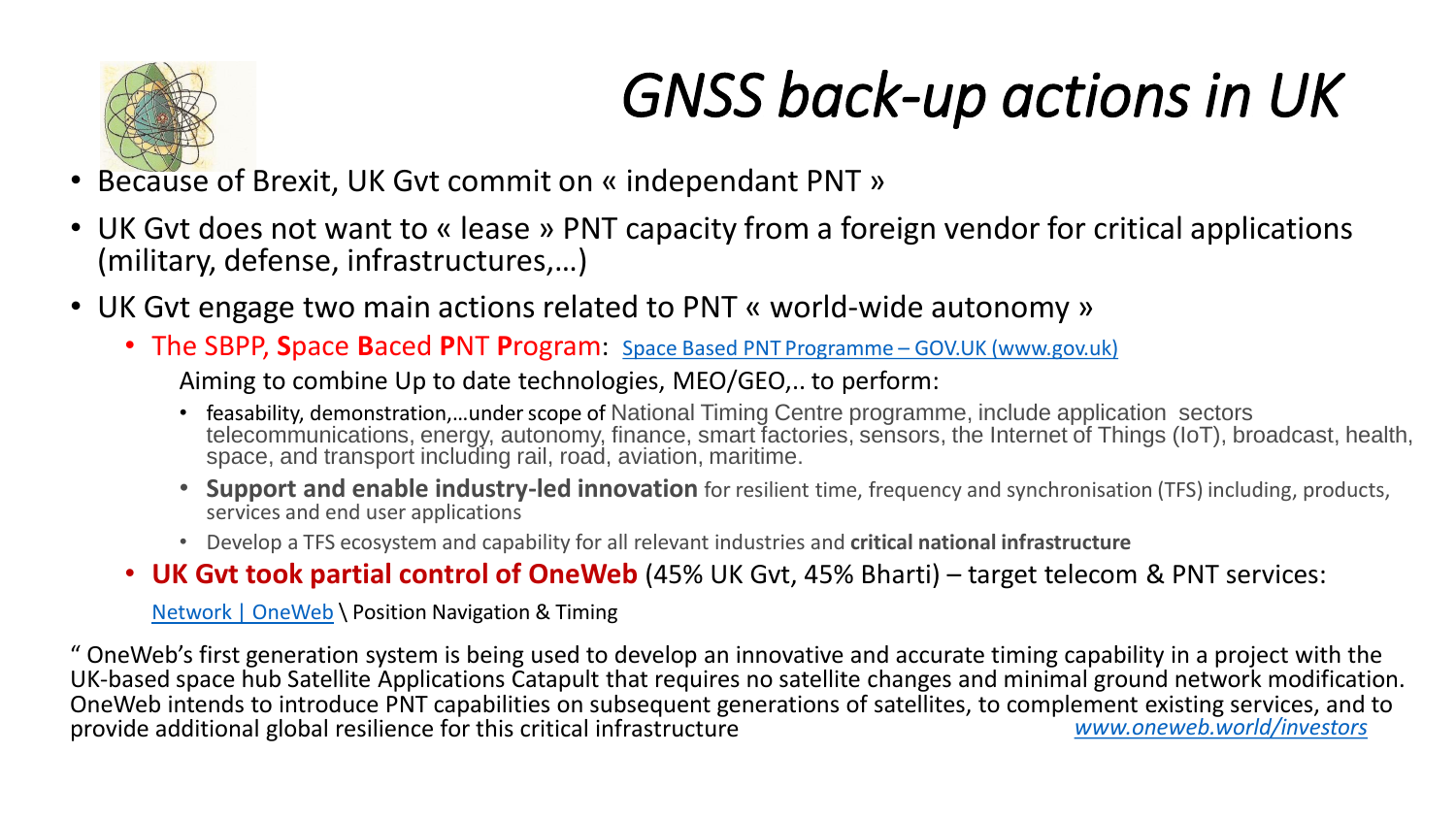

# *GNSS back-up actions in UK*

- Because of Brexit, UK Gvt commit on « independant PNT »
- UK Gvt does not want to « lease » PNT capacity from a foreign vendor for critical applications (military, defense, infrastructures,…)
- UK Gvt engage two main actions related to PNT « world-wide autonomy »
	- The SBPP, **S**pace **B**aced **P**NT **P**rogram: [Space Based PNT Programme](https://www.gov.uk/guidance/space-based-pnt-programme) GOV.UK (www.gov.uk)

Aiming to combine Up to date technologies, MEO/GEO,.. to perform:

- feasability, demonstration,...under scope of National Timing Centre programme, include application sectors telecommunications, energy, autonomy, finance, smart factories, sensors, the Internet of Things (IoT), broadcast, health, space, and transport including rail, road, aviation, maritime.
- **Support and enable industry-led innovation** for resilient time, frequency and synchronisation (TFS) including, products, services and end user applications
- Develop a TFS ecosystem and capability for all relevant industries and **critical national infrastructure**
- **UK Gvt took partial control of OneWeb** (45% UK Gvt, 45% Bharti) target telecom & PNT services:

[Network | OneWeb](https://www.oneweb.world/network) \ Position Navigation & Timing

" OneWeb's first generation system is being used to develop an innovative and accurate timing capability in a project with the UK-based space hub Satellite Applications Catapult that requires no satellite changes and minimal ground network modification. OneWeb intends to introduce PNT capabilities on subsequent generations of satellites, to complement existing services, and to<br>www.oneweb.world/investors provide additional global resilience for this critical infrastructure provide additional global resilience for this critical infrastructure *[www.oneweb.world/investors](http://www.oneweb.world/investors)*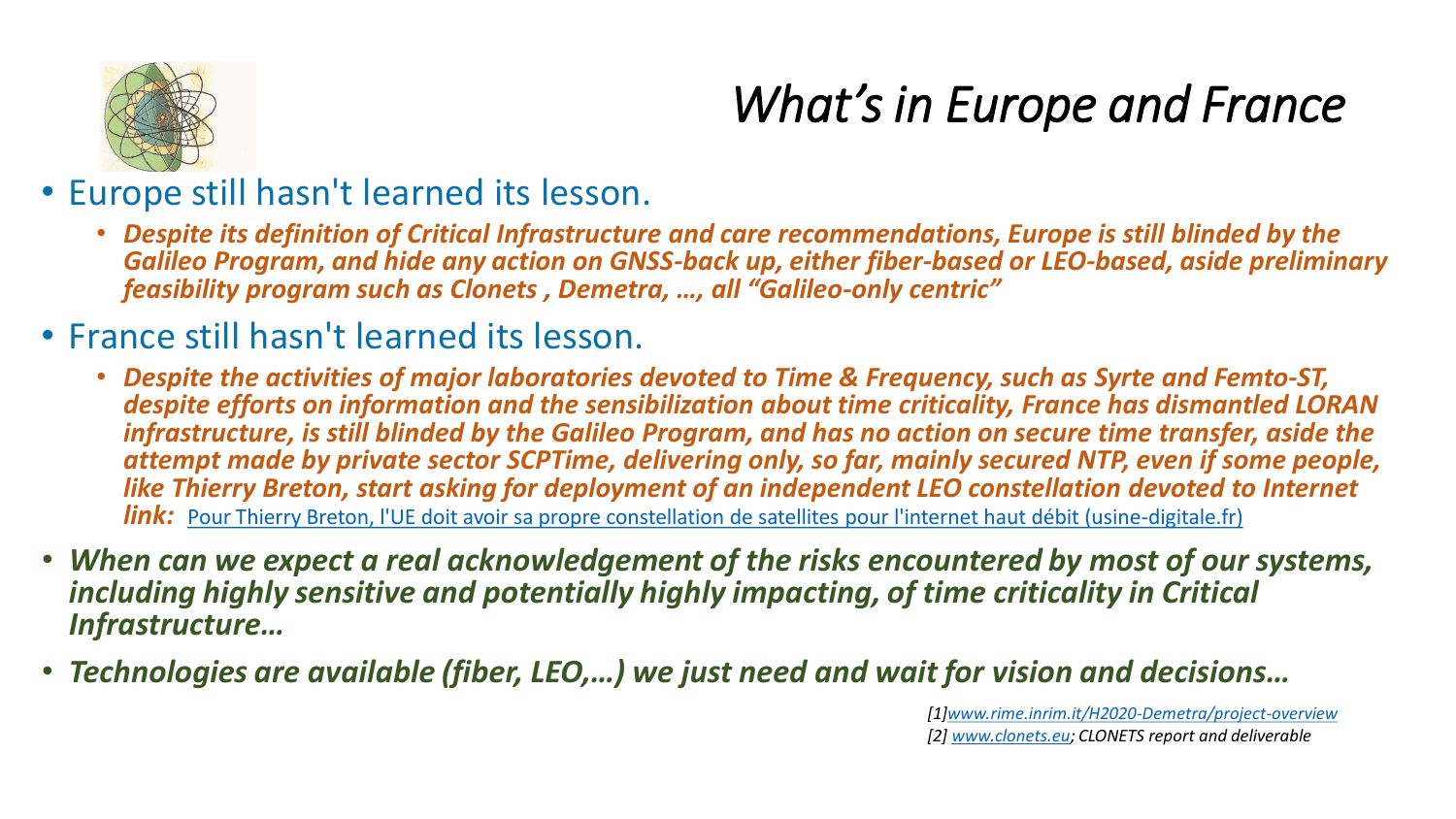

## *What's in Europe and France*

- Europe still hasn't learned its lesson.
	- *Despite its definition of Critical Infrastructure and care recommendations, Europe is still blinded by the Galileo Program, and hide any action on GNSS-back up, either fiber-based or LEO-based, aside preliminary feasibility program such as Clonets , Demetra, …, all "Galileo-only centric"*
- France still hasn't learned its lesson.
	- *Despite the activities of major laboratories devoted to Time & Frequency, such as Syrte and Femto-ST, despite efforts on information and the sensibilization about time criticality, France has dismantled LORAN infrastructure, is still blinded by the Galileo Program, and has no action on secure time transfer, aside the attempt made by private sector SCPTime, delivering only, so far, mainly secured NTP, even if some people, like Thierry Breton, start asking for deployment of an independent LEO constellation devoted to Internet link:* [Pour Thierry Breton, l'UE doit avoir sa propre constellation de satellites pour l'internet haut débit \(usine-digitale.fr\)](https://www.usine-digitale.fr/editorial/pour-thierry-breton-l-ue-doit-avoir-sa-propre-constellation-de-satellites-pour-l-internet-haut-debit.N981916)
- *When can we expect a real acknowledgement of the risks encountered by most of our systems, including highly sensitive and potentially highly impacting, of time criticality in Critical Infrastructure…*
- *Technologies are available (fiber, LEO,…) we just need and wait for vision and decisions…*

*[1][www.rime.inrim.it/H2020-Demetra/project-overview](http://www.rime.inrim.it/H2020-Demetra/project-overview) [2] [www.clonets.eu;](http://www.clonets.eu/) CLONETS report and deliverable*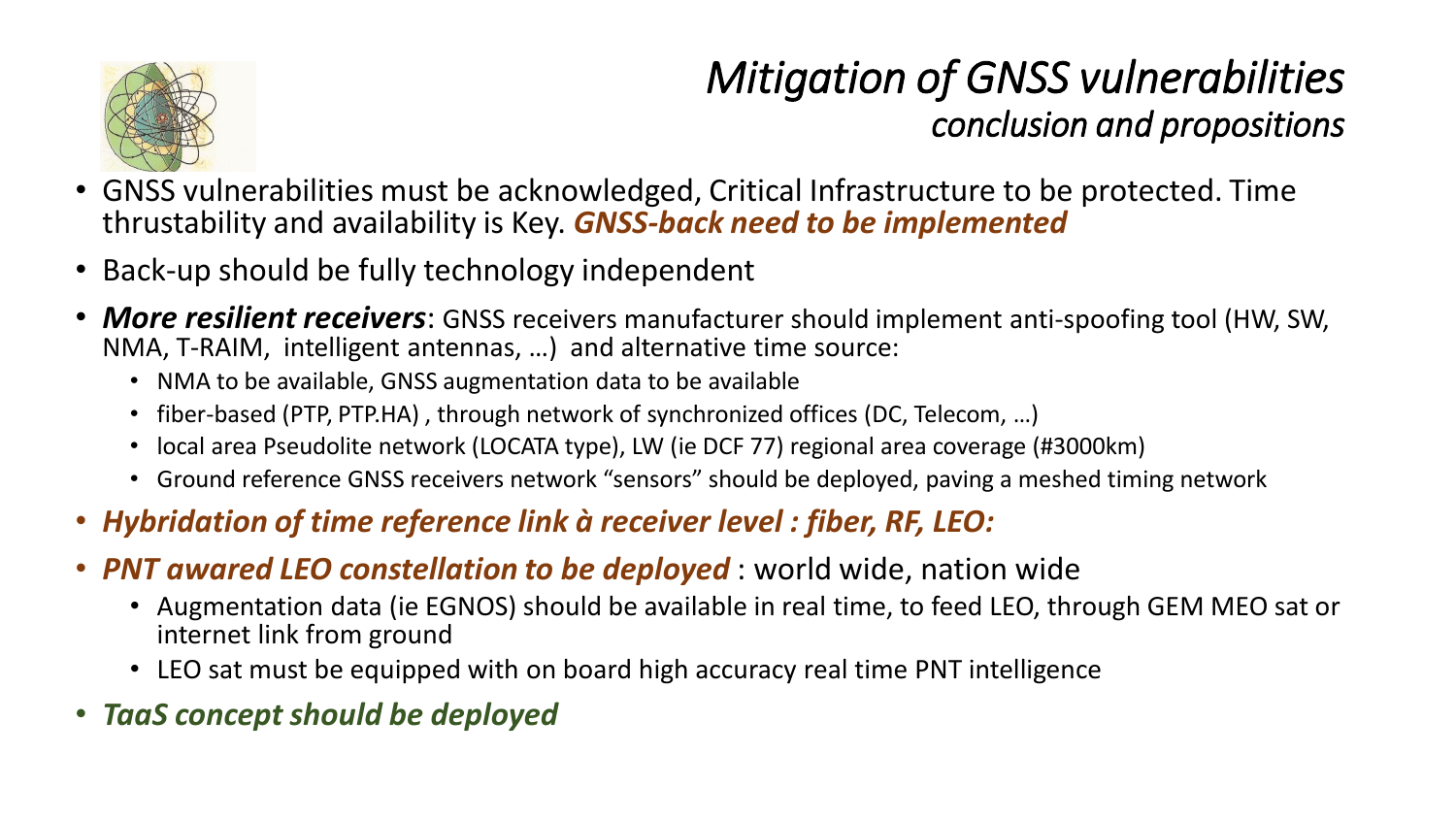

### *Mitigation of GNSS vulnerabilities conclusion and propositions*

- GNSS vulnerabilities must be acknowledged, Critical Infrastructure to be protected. Time thrustability and availability is Key. *GNSS-back need to be implemented*
- Back-up should be fully technology independent
- *More resilient receivers*: GNSS receivers manufacturer should implement anti-spoofing tool (HW, SW, NMA, T-RAIM, intelligent antennas, …) and alternative time source:
	- NMA to be available, GNSS augmentation data to be available
	- fiber-based (PTP, PTP.HA), through network of synchronized offices (DC, Telecom, ...)
	- local area Pseudolite network (LOCATA type), LW (ie DCF 77) regional area coverage (#3000km)
	- Ground reference GNSS receivers network "sensors" should be deployed, paving a meshed timing network
- *Hybridation of time reference link à receiver level : fiber, RF, LEO:*
- *PNT awared LEO constellation to be deployed* : world wide, nation wide
	- Augmentation data (ie EGNOS) should be available in real time, to feed LEO, through GEM MEO sat or internet link from ground
	- LEO sat must be equipped with on board high accuracy real time PNT intelligence
- *TaaS concept should be deployed*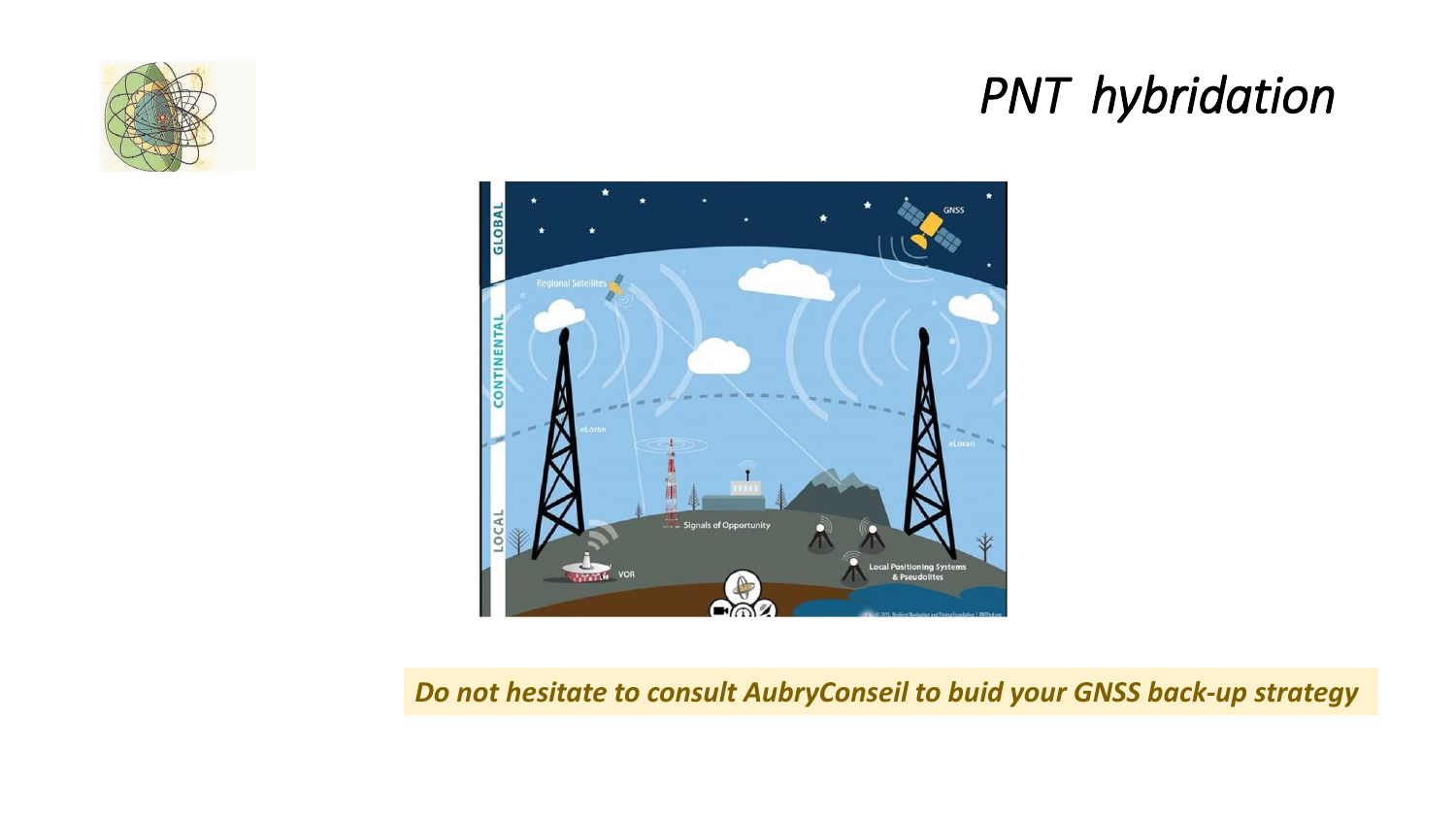

### *PNT hybridation*



*Do not hesitate to consult AubryConseil to buid your GNSS back-up strategy*